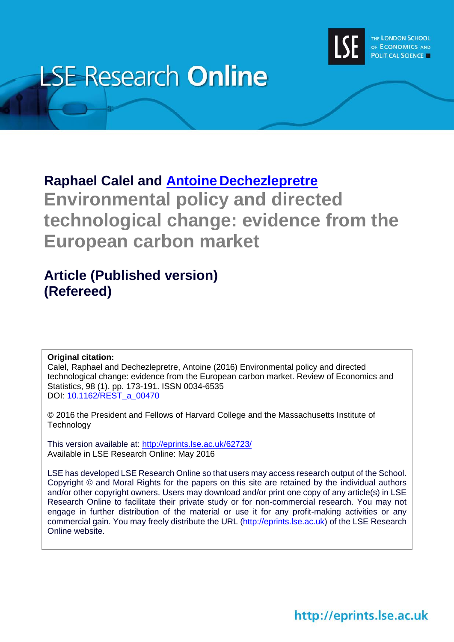

# **LSE Research Online**

# **Raphael Calel and Antoine [Dechezlepretre](http://www.lse.ac.uk/researchAndExpertise/Experts/profile.aspx?KeyValue=a.dechezlepretre@lse.ac.uk) Environmental policy and directed technological change: evidence from the European carbon market**

## **Article (Published version) (Refereed)**

#### **Original citation:**

Calel, Raphael and Dechezlepretre, Antoine (2016) Environmental policy and directed technological change: evidence from the European carbon market. Review of Economics and Statistics, 98 (1). pp. 173-191. ISSN 0034-6535 DOI: [10.1162/REST\\_a\\_00470](http://dx.doi.org/10.1162/REST_a_00470)

© 2016 the President and Fellows of Harvard College and the Massachusetts Institute of **Technology** 

This version available at:<http://eprints.lse.ac.uk/62723/> Available in LSE Research Online: May 2016

LSE has developed LSE Research Online so that users may access research output of the School. Copyright © and Moral Rights for the papers on this site are retained by the individual authors and/or other copyright owners. Users may download and/or print one copy of any article(s) in LSE Research Online to facilitate their private study or for non-commercial research. You may not engage in further distribution of the material or use it for any profit-making activities or any commercial gain. You may freely distribute the URL (http://eprints.lse.ac.uk) of the LSE Research Online website.

http://eprints.lse.ac.uk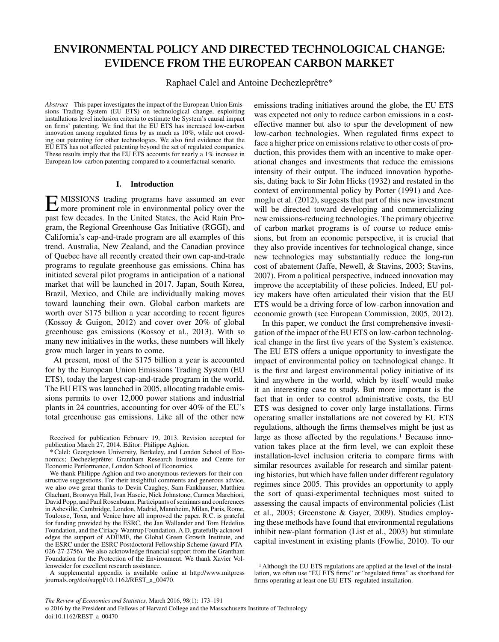### **ENVIRONMENTAL POLICY AND DIRECTED TECHNOLOGICAL CHANGE: EVIDENCE FROM THE EUROPEAN CARBON MARKET**

Raphael Calel and Antoine Dechezleprêtre\*

*Abstract—*This paper investigates the impact of the European Union Emissions Trading System (EU ETS) on technological change, exploiting installations level inclusion criteria to estimate the System's causal impact on firms' patenting. We find that the EU ETS has increased low-carbon innovation among regulated firms by as much as 10%, while not crowding out patenting for other technologies. We also find evidence that the EU ETS has not affected patenting beyond the set of regulated companies. These results imply that the EU ETS accounts for nearly a 1% increase in European low-carbon patenting compared to a counterfactual scenario.

#### **I. Introduction**

E MISSIONS trading programs have assumed an ever<br>more prominent role in environmental policy over the past few decades. In the United States, the Acid Rain Program, the Regional Greenhouse Gas Initiative (RGGI), and California's cap-and-trade program are all examples of this trend. Australia, New Zealand, and the Canadian province of Quebec have all recently created their own cap-and-trade programs to regulate greenhouse gas emissions. China has initiated several pilot programs in anticipation of a national market that will be launched in 2017. Japan, South Korea, Brazil, Mexico, and Chile are individually making moves toward launching their own. Global carbon markets are worth over \$175 billion a year according to recent figures (Kossoy & Guigon, 2012) and cover over 20% of global greenhouse gas emissions (Kossoy et al., 2013). With so many new initiatives in the works, these numbers will likely grow much larger in years to come.

At present, most of the \$175 billion a year is accounted for by the European Union Emissions Trading System (EU ETS), today the largest cap-and-trade program in the world. The EU ETS was launched in 2005, allocating tradable emissions permits to over 12,000 power stations and industrial plants in 24 countries, accounting for over 40% of the EU's total greenhouse gas emissions. Like all of the other new

We thank Philippe Aghion and two anonymous reviewers for their constructive suggestions. For their insightful comments and generous advice, we also owe great thanks to Devin Caughey, Sam Fankhauser, Matthieu Glachant, Bronwyn Hall, Ivan Hascic, Nick Johnstone, Carmen Marchiori, David Popp, and Paul Rosenbaum. Participants of seminars and conferences in Asheville, Cambridge, London, Madrid, Mannheim, Milan, Paris, Rome, Toulouse, Toxa, and Venice have all improved the paper. R.C. is grateful for funding provided by the ESRC, the Jan Wallander and Tom Hedelius Foundation, and the Ciriacy-Wantrup Foundation. A.D. gratefully acknowledges the support of ADEME, the Global Green Growth Institute, and the ESRC under the ESRC Postdoctoral Fellowship Scheme (award PTA-026-27-2756). We also acknowledge financial support from the Grantham Foundation for the Protection of the Environment. We thank Xavier Vollenweider for excellent research assistance.

A supplemental appendix is available online at http://www.mitpress journals.org/doi/suppl/10.1162/REST\_a\_00470.

emissions trading initiatives around the globe, the EU ETS was expected not only to reduce carbon emissions in a costeffective manner but also to spur the development of new low-carbon technologies. When regulated firms expect to face a higher price on emissions relative to other costs of production, this provides them with an incentive to make operational changes and investments that reduce the emissions intensity of their output. The induced innovation hypothesis, dating back to Sir John Hicks (1932) and restated in the context of environmental policy by Porter (1991) and Acemoglu et al. (2012), suggests that part of this new investment will be directed toward developing and commercializing new emissions-reducing technologies. The primary objective of carbon market programs is of course to reduce emissions, but from an economic perspective, it is crucial that they also provide incentives for technological change, since new technologies may substantially reduce the long-run cost of abatement (Jaffe, Newell, & Stavins, 2003; Stavins, 2007). From a political perspective, induced innovation may improve the acceptability of these policies. Indeed, EU policy makers have often articulated their vision that the EU ETS would be a driving force of low-carbon innovation and economic growth (see European Commission, 2005, 2012).

In this paper, we conduct the first comprehensive investigation of the impact of the EU ETS on low-carbon technological change in the first five years of the System's existence. The EU ETS offers a unique opportunity to investigate the impact of environmental policy on technological change. It is the first and largest environmental policy initiative of its kind anywhere in the world, which by itself would make it an interesting case to study. But more important is the fact that in order to control administrative costs, the EU ETS was designed to cover only large installations. Firms operating smaller installations are not covered by EU ETS regulations, although the firms themselves might be just as large as those affected by the regulations.<sup>1</sup> Because innovation takes place at the firm level, we can exploit these installation-level inclusion criteria to compare firms with similar resources available for research and similar patenting histories, but which have fallen under different regulatory regimes since 2005. This provides an opportunity to apply the sort of quasi-experimental techniques most suited to assessing the causal impacts of environmental policies (List et al., 2003; Greenstone & Gayer, 2009). Studies employing these methods have found that environmental regulations inhibit new-plant formation (List et al., 2003) but stimulate capital investment in existing plants (Fowlie, 2010). To our

Received for publication February 19, 2013. Revision accepted for publication March 27, 2014. Editor: Philippe Aghion.

<sup>\*</sup> Calel: Georgetown University, Berkeley, and London School of Economics; Dechezleprêtre: Grantham Research Institute and Centre for Economic Performance, London School of Economics.

<sup>1</sup> Although the EU ETS regulations are applied at the level of the installation, we often use "EU ETS firms" or "regulated firms" as shorthand for firms operating at least one EU ETS–regulated installation.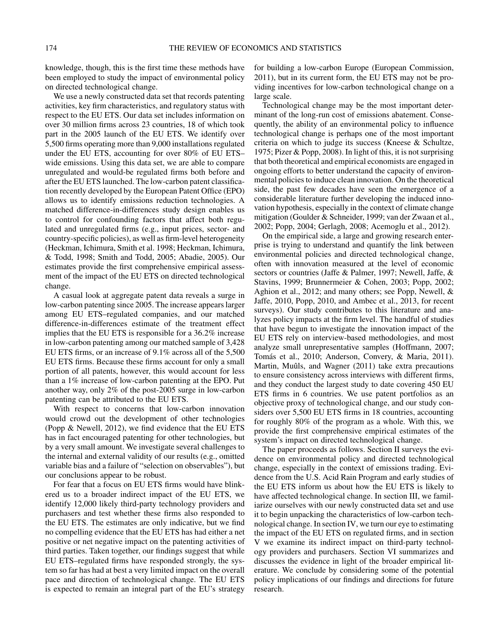knowledge, though, this is the first time these methods have been employed to study the impact of environmental policy on directed technological change.

We use a newly constructed data set that records patenting activities, key firm characteristics, and regulatory status with respect to the EU ETS. Our data set includes information on over 30 million firms across 23 countries, 18 of which took part in the 2005 launch of the EU ETS. We identify over 5,500 firms operating more than 9,000 installations regulated under the EU ETS, accounting for over 80% of EU ETS– wide emissions. Using this data set, we are able to compare unregulated and would-be regulated firms both before and after the EU ETS launched. The low-carbon patent classification recently developed by the European Patent Office (EPO) allows us to identify emissions reduction technologies. A matched difference-in-differences study design enables us to control for confounding factors that affect both regulated and unregulated firms (e.g., input prices, sector- and country-specific policies), as well as firm-level heterogeneity (Heckman, Ichimura, Smith et al. 1998; Heckman, Ichimura, & Todd, 1998; Smith and Todd, 2005; Abadie, 2005). Our estimates provide the first comprehensive empirical assessment of the impact of the EU ETS on directed technological change.

A casual look at aggregate patent data reveals a surge in low-carbon patenting since 2005. The increase appears larger among EU ETS–regulated companies, and our matched difference-in-differences estimate of the treatment effect implies that the EU ETS is responsible for a 36.2% increase in low-carbon patenting among our matched sample of 3,428 EU ETS firms, or an increase of 9.1% across all of the 5,500 EU ETS firms. Because these firms account for only a small portion of all patents, however, this would account for less than a 1% increase of low-carbon patenting at the EPO. Put another way, only 2% of the post-2005 surge in low-carbon patenting can be attributed to the EU ETS.

With respect to concerns that low-carbon innovation would crowd out the development of other technologies (Popp & Newell, 2012), we find evidence that the EU ETS has in fact encouraged patenting for other technologies, but by a very small amount. We investigate several challenges to the internal and external validity of our results (e.g., omitted variable bias and a failure of "selection on observables"), but our conclusions appear to be robust.

For fear that a focus on EU ETS firms would have blinkered us to a broader indirect impact of the EU ETS, we identify 12,000 likely third-party technology providers and purchasers and test whether these firms also responded to the EU ETS. The estimates are only indicative, but we find no compelling evidence that the EU ETS has had either a net positive or net negative impact on the patenting activities of third parties. Taken together, our findings suggest that while EU ETS–regulated firms have responded strongly, the system so far has had at best a very limited impact on the overall pace and direction of technological change. The EU ETS is expected to remain an integral part of the EU's strategy

for building a low-carbon Europe (European Commission, 2011), but in its current form, the EU ETS may not be providing incentives for low-carbon technological change on a large scale.

Technological change may be the most important determinant of the long-run cost of emissions abatement. Consequently, the ability of an environmental policy to influence technological change is perhaps one of the most important criteria on which to judge its success (Kneese  $\&$  Schultze, 1975; Pizer & Popp, 2008). In light of this, it is not surprising that both theoretical and empirical economists are engaged in ongoing efforts to better understand the capacity of environmental policies to induce clean innovation. On the theoretical side, the past few decades have seen the emergence of a considerable literature further developing the induced innovation hypothesis, especially in the context of climate change mitigation (Goulder & Schneider, 1999; van der Zwaan et al., 2002; Popp, 2004; Gerlagh, 2008; Acemoglu et al., 2012).

On the empirical side, a large and growing research enterprise is trying to understand and quantify the link between environmental policies and directed technological change, often with innovation measured at the level of economic sectors or countries (Jaffe & Palmer, 1997; Newell, Jaffe, & Stavins, 1999; Brunnermeier & Cohen, 2003; Popp, 2002; Aghion et al., 2012; and many others; see Popp, Newell, & Jaffe, 2010, Popp, 2010, and Ambec et al., 2013, for recent surveys). Our study contributes to this literature and analyzes policy impacts at the firm level. The handful of studies that have begun to investigate the innovation impact of the EU ETS rely on interview-based methodologies, and most analyze small unrepresentative samples (Hoffmann, 2007; Tomás et al., 2010; Anderson, Convery, & Maria, 2011). Martin, Muûls, and Wagner (2011) take extra precautions to ensure consistency across interviews with different firms, and they conduct the largest study to date covering 450 EU ETS firms in 6 countries. We use patent portfolios as an objective proxy of technological change, and our study considers over 5,500 EU ETS firms in 18 countries, accounting for roughly 80% of the program as a whole. With this, we provide the first comprehensive empirical estimates of the system's impact on directed technological change.

The paper proceeds as follows. Section II surveys the evidence on environmental policy and directed technological change, especially in the context of emissions trading. Evidence from the U.S. Acid Rain Program and early studies of the EU ETS inform us about how the EU ETS is likely to have affected technological change. In section III, we familiarize ourselves with our newly constructed data set and use it to begin unpacking the characteristics of low-carbon technological change. In section IV, we turn our eye to estimating the impact of the EU ETS on regulated firms, and in section V we examine its indirect impact on third-party technology providers and purchasers. Section VI summarizes and discusses the evidence in light of the broader empirical literature. We conclude by considering some of the potential policy implications of our findings and directions for future research.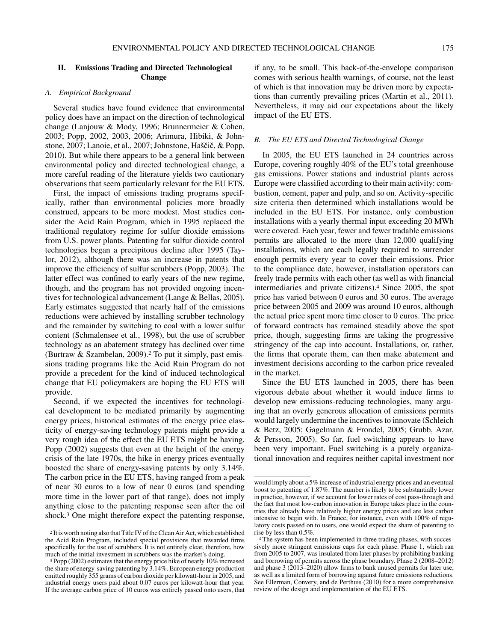#### **II. Emissions Trading and Directed Technological Change**

#### *A. Empirical Background*

Several studies have found evidence that environmental policy does have an impact on the direction of technological change (Lanjouw & Mody, 1996; Brunnermeier & Cohen, 2003; Popp, 2002, 2003, 2006; Arimura, Hibiki, & Johnstone, 2007; Lanoie, et al., 2007; Johnstone, Haščič, & Popp, 2010). But while there appears to be a general link between environmental policy and directed technological change, a more careful reading of the literature yields two cautionary observations that seem particularly relevant for the EU ETS.

First, the impact of emissions trading programs specifically, rather than environmental policies more broadly construed, appears to be more modest. Most studies consider the Acid Rain Program, which in 1995 replaced the traditional regulatory regime for sulfur dioxide emissions from U.S. power plants. Patenting for sulfur dioxide control technologies began a precipitous decline after 1995 (Taylor, 2012), although there was an increase in patents that improve the efficiency of sulfur scrubbers (Popp, 2003). The latter effect was confined to early years of the new regime, though, and the program has not provided ongoing incentives for technological advancement (Lange & Bellas, 2005). Early estimates suggested that nearly half of the emissions reductions were achieved by installing scrubber technology and the remainder by switching to coal with a lower sulfur content (Schmalensee et al., 1998), but the use of scrubber technology as an abatement strategy has declined over time (Burtraw & Szambelan, 2009).2 To put it simply, past emissions trading programs like the Acid Rain Program do not provide a precedent for the kind of induced technological change that EU policymakers are hoping the EU ETS will provide.

Second, if we expected the incentives for technological development to be mediated primarily by augmenting energy prices, historical estimates of the energy price elasticity of energy-saving technology patents might provide a very rough idea of the effect the EU ETS might be having. Popp (2002) suggests that even at the height of the energy crisis of the late 1970s, the hike in energy prices eventually boosted the share of energy-saving patents by only 3.14%. The carbon price in the EU ETS, having ranged from a peak of near 30 euros to a low of near 0 euros (and spending more time in the lower part of that range), does not imply anything close to the patenting response seen after the oil shock.3 One might therefore expect the patenting response,

if any, to be small. This back-of-the-envelope comparison comes with serious health warnings, of course, not the least of which is that innovation may be driven more by expectations than currently prevailing prices (Martin et al., 2011). Nevertheless, it may aid our expectations about the likely impact of the EU ETS.

#### *B. The EU ETS and Directed Technological Change*

In 2005, the EU ETS launched in 24 countries across Europe, covering roughly 40% of the EU's total greenhouse gas emissions. Power stations and industrial plants across Europe were classified according to their main activity: combustion, cement, paper and pulp, and so on. Activity-specific size criteria then determined which installations would be included in the EU ETS. For instance, only combustion installations with a yearly thermal input exceeding 20 MWh were covered. Each year, fewer and fewer tradable emissions permits are allocated to the more than 12,000 qualifying installations, which are each legally required to surrender enough permits every year to cover their emissions. Prior to the compliance date, however, installation operators can freely trade permits with each other (as well as with financial intermediaries and private citizens).4 Since 2005, the spot price has varied between 0 euros and 30 euros. The average price between 2005 and 2009 was around 10 euros, although the actual price spent more time closer to 0 euros. The price of forward contracts has remained steadily above the spot price, though, suggesting firms are taking the progressive stringency of the cap into account. Installations, or, rather, the firms that operate them, can then make abatement and investment decisions according to the carbon price revealed in the market.

Since the EU ETS launched in 2005, there has been vigorous debate about whether it would induce firms to develop new emissions-reducing technologies, many arguing that an overly generous allocation of emissions permits would largely undermine the incentives to innovate (Schleich & Betz, 2005; Gagelmann & Frondel, 2005; Grubb, Azar, & Persson, 2005). So far, fuel switching appears to have been very important. Fuel switching is a purely organizational innovation and requires neither capital investment nor

<sup>2</sup> It is worth noting also that Title IV of the Clean Air Act, which established the Acid Rain Program, included special provisions that rewarded firms specifically for the use of scrubbers. It is not entirely clear, therefore, how much of the initial investment in scrubbers was the market's doing.

<sup>3</sup> Popp (2002) estimates that the energy price hike of nearly 10% increased the share of energy-saving patenting by 3.14%. European energy production emitted roughly 355 grams of carbon dioxide per kilowatt-hour in 2005, and industrial energy users paid about 0.07 euros per kilowatt-hour that year. If the average carbon price of 10 euros was entirely passed onto users, that

would imply about a 5% increase of industrial energy prices and an eventual boost to patenting of 1.87%. The number is likely to be substantially lower in practice, however, if we account for lower rates of cost pass-through and the fact that most low-carbon innovation in Europe takes place in the countries that already have relatively higher energy prices and are less carbon intensive to begin with. In France, for instance, even with 100% of regulatory costs passed on to users, one would expect the share of patenting to rise by less than 0.5%.

<sup>4</sup> The system has been implemented in three trading phases, with successively more stringent emissions caps for each phase. Phase 1, which ran from 2005 to 2007, was insulated from later phases by prohibiting banking and borrowing of permits across the phase boundary. Phase 2 (2008–2012) and phase 3 (2013–2020) allow firms to bank unused permits for later use, as well as a limited form of borrowing against future emissions reductions. See Ellerman, Convery, and de Perthuis (2010) for a more comprehensive review of the design and implementation of the EU ETS.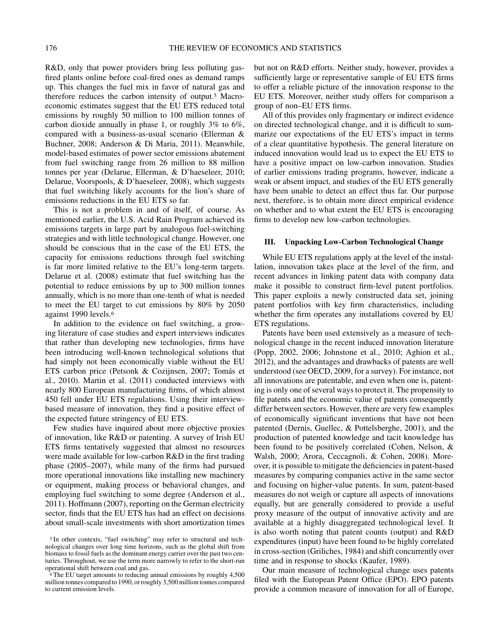R&D, only that power providers bring less polluting gasfired plants online before coal-fired ones as demand ramps up. This changes the fuel mix in favor of natural gas and therefore reduces the carbon intensity of output.5 Macroeconomic estimates suggest that the EU ETS reduced total emissions by roughly 50 million to 100 million tonnes of carbon dioxide annually in phase 1, or roughly 3% to 6%, compared with a business-as-usual scenario (Ellerman & Buchner, 2008; Anderson & Di Maria, 2011). Meanwhile, model-based estimates of power sector emissions abatement from fuel switching range from 26 million to 88 million tonnes per year (Delarue, Ellerman, & D'haeseleer, 2010; Delarue, Voorspools, & D'haeseleer, 2008), which suggests that fuel switching likely accounts for the lion's share of emissions reductions in the EU ETS so far.

This is not a problem in and of itself, of course. As mentioned earlier, the U.S. Acid Rain Program achieved its emissions targets in large part by analogous fuel-switching strategies and with little technological change. However, one should be conscious that in the case of the EU ETS, the capacity for emissions reductions through fuel switching is far more limited relative to the EU's long-term targets. Delarue et al. (2008) estimate that fuel switching has the potential to reduce emissions by up to 300 million tonnes annually, which is no more than one-tenth of what is needed to meet the EU target to cut emissions by 80% by 2050 against 1990 levels.6

In addition to the evidence on fuel switching, a growing literature of case studies and expert interviews indicates that rather than developing new technologies, firms have been introducing well-known technological solutions that had simply not been economically viable without the EU ETS carbon price (Petsonk & Cozijnsen, 2007; Tomás et al., 2010). Martin et al. (2011) conducted interviews with nearly 800 European manufacturing firms, of which almost 450 fell under EU ETS regulations. Using their interviewbased measure of innovation, they find a positive effect of the expected future stringency of EU ETS.

Few studies have inquired about more objective proxies of innovation, like R&D or patenting. A survey of Irish EU ETS firms tentatively suggested that almost no resources were made available for low-carbon R&D in the first trading phase (2005–2007), while many of the firms had pursued more operational innovations like installing new machinery or equipment, making process or behavioral changes, and employing fuel switching to some degree (Anderson et al., 2011). Hoffmann (2007), reporting on the German electricity sector, finds that the EU ETS has had an effect on decisions about small-scale investments with short amortization times

but not on R&D efforts. Neither study, however, provides a sufficiently large or representative sample of EU ETS firms to offer a reliable picture of the innovation response to the EU ETS. Moreover, neither study offers for comparison a group of non–EU ETS firms.

All of this provides only fragmentary or indirect evidence on directed technological change, and it is difficult to summarize our expectations of the EU ETS's impact in terms of a clear quantitative hypothesis. The general literature on induced innovation would lead us to expect the EU ETS to have a positive impact on low-carbon innovation. Studies of earlier emissions trading programs, however, indicate a weak or absent impact, and studies of the EU ETS generally have been unable to detect an effect thus far. Our purpose next, therefore, is to obtain more direct empirical evidence on whether and to what extent the EU ETS is encouraging firms to develop new low-carbon technologies.

#### **III. Unpacking Low-Carbon Technological Change**

While EU ETS regulations apply at the level of the installation, innovation takes place at the level of the firm, and recent advances in linking patent data with company data make it possible to construct firm-level patent portfolios. This paper exploits a newly constructed data set, joining patent portfolios with key firm characteristics, including whether the firm operates any installations covered by EU ETS regulations.

Patents have been used extensively as a measure of technological change in the recent induced innovation literature (Popp, 2002, 2006; Johnstone et al., 2010; Aghion et al., 2012), and the advantages and drawbacks of patents are well understood (see OECD, 2009, for a survey). For instance, not all innovations are patentable, and even when one is, patenting is only one of several ways to protect it. The propensity to file patents and the economic value of patents consequently differ between sectors. However, there are very few examples of economically significant inventions that have not been patented (Dernis, Guellec, & Pottelsberghe, 2001), and the production of patented knowledge and tacit knowledge has been found to be positively correlated (Cohen, Nelson, & Walsh, 2000; Arora, Ceccagnoli, & Cohen, 2008). Moreover, it is possible to mitigate the deficiencies in patent-based measures by comparing companies active in the same sector and focusing on higher-value patents. In sum, patent-based measures do not weigh or capture all aspects of innovations equally, but are generally considered to provide a useful proxy measure of the output of innovative activity and are available at a highly disaggregated technological level. It is also worth noting that patent counts (output) and R&D expenditures (input) have been found to be highly correlated in cross-section (Griliches, 1984) and shift concurrently over time and in response to shocks (Kaufer, 1989).

Our main measure of technological change uses patents filed with the European Patent Office (EPO). EPO patents provide a common measure of innovation for all of Europe,

<sup>5</sup> In other contexts, "fuel switching" may refer to structural and technological changes over long time horizons, such as the global shift from biomass to fossil fuels as the dominant energy carrier over the past two centuries. Throughout, we use the term more narrowly to refer to the short-run operational shift between coal and gas.

<sup>6</sup> The EU target amounts to reducing annual emissions by roughly 4,500 million tonnes compared to 1990, or roughly 3,500 million tonnes compared to current emission levels.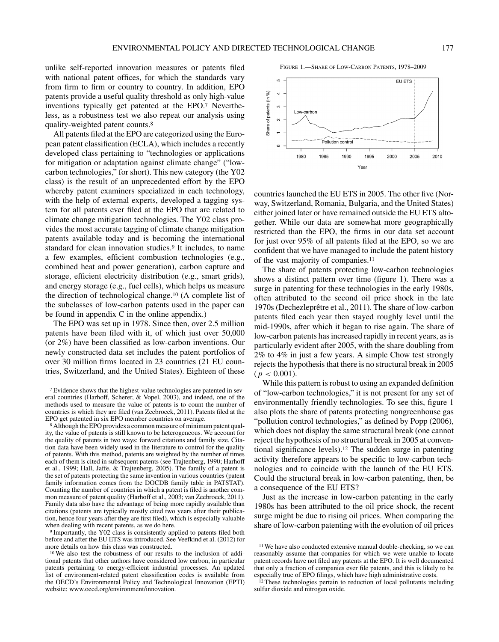unlike self-reported innovation measures or patents filed with national patent offices, for which the standards vary from firm to firm or country to country. In addition, EPO patents provide a useful quality threshold as only high-value inventions typically get patented at the EPO.7 Nevertheless, as a robustness test we also repeat our analysis using quality-weighted patent counts.8

All patents filed at the EPO are categorized using the European patent classification (ECLA), which includes a recently developed class pertaining to "technologies or applications for mitigation or adaptation against climate change" ("lowcarbon technologies," for short). This new category (the Y02 class) is the result of an unprecedented effort by the EPO whereby patent examiners specialized in each technology, with the help of external experts, developed a tagging system for all patents ever filed at the EPO that are related to climate change mitigation technologies. The Y02 class provides the most accurate tagging of climate change mitigation patents available today and is becoming the international standard for clean innovation studies.<sup>9</sup> It includes, to name a few examples, efficient combustion technologies (e.g., combined heat and power generation), carbon capture and storage, efficient electricity distribution (e.g., smart grids), and energy storage (e.g., fuel cells), which helps us measure the direction of technological change.10 (A complete list of the subclasses of low-carbon patents used in the paper can be found in appendix C in the online appendix.)

The EPO was set up in 1978. Since then, over 2.5 million patents have been filed with it, of which just over 50,000 (or 2%) have been classified as low-carbon inventions. Our newly constructed data set includes the patent portfolios of over 30 million firms located in 23 countries (21 EU countries, Switzerland, and the United States). Eighteen of these

Figure 1.—Share of Low-Carbon Patents, 1978–2009



countries launched the EU ETS in 2005. The other five (Norway, Switzerland, Romania, Bulgaria, and the United States) either joined later or have remained outside the EU ETS altogether. While our data are somewhat more geographically restricted than the EPO, the firms in our data set account for just over 95% of all patents filed at the EPO, so we are confident that we have managed to include the patent history of the vast majority of companies.11

The share of patents protecting low-carbon technologies shows a distinct pattern over time (figure 1). There was a surge in patenting for these technologies in the early 1980s, often attributed to the second oil price shock in the late 1970s (Dechezleprêtre et al., 2011). The share of low-carbon patents filed each year then stayed roughly level until the mid-1990s, after which it began to rise again. The share of low-carbon patents has increased rapidly in recent years, as is particularly evident after 2005, with the share doubling from 2% to 4% in just a few years. A simple Chow test strongly rejects the hypothesis that there is no structural break in 2005  $(p < 0.001)$ .

While this pattern is robust to using an expanded definition of "low-carbon technologies," it is not present for any set of environmentally friendly technologies. To see this, figure 1 also plots the share of patents protecting nongreenhouse gas "pollution control technologies," as defined by Popp (2006), which does not display the same structural break (one cannot reject the hypothesis of no structural break in 2005 at conventional significance levels).12 The sudden surge in patenting activity therefore appears to be specific to low-carbon technologies and to coincide with the launch of the EU ETS. Could the structural break in low-carbon patenting, then, be a consequence of the EU ETS?

Just as the increase in low-carbon patenting in the early 1980s has been attributed to the oil price shock, the recent surge might be due to rising oil prices. When comparing the share of low-carbon patenting with the evolution of oil prices

<sup>7</sup> Evidence shows that the highest-value technologies are patented in several countries (Harhoff, Scherer, & Vopel, 2003), and indeed, one of the methods used to measure the value of patents is to count the number of countries is which they are filed (van Zeebroeck, 2011). Patents filed at the EPO get patented in six EPO member countries on average.

<sup>8</sup> Although the EPO provides a common measure of minimum patent quality, the value of patents is still known to be heterogeneous. We account for the quality of patents in two ways: forward citations and family size. Citation data have been widely used in the literature to control for the quality of patents. With this method, patents are weighted by the number of times each of them is cited in subsequent patents (see Trajtenberg, 1990; Harhoff et al., 1999; Hall, Jaffe, & Trajtenberg, 2005). The family of a patent is the set of patents protecting the same invention in various countries (patent family information comes from the DOCDB family table in PATSTAT). Counting the number of countries in which a patent is filed is another common measure of patent quality (Harhoff et al., 2003; van Zeebroeck, 2011). Family data also have the advantage of being more rapidly available than citations (patents are typically mostly cited two years after their publication, hence four years after they are first filed), which is especially valuable when dealing with recent patents, as we do here.

<sup>9</sup> Importantly, the Y02 class is consistently applied to patents filed both before and after the EU ETS was introduced. See Veefkind et al. (2012) for more details on how this class was constructed.

<sup>10</sup> We also test the robustness of our results to the inclusion of additional patents that other authors have considered low carbon, in particular patents pertaining to energy-efficient industrial processes. An updated list of environment-related patent classification codes is available from the OECD's Environmental Policy and Technological Innovation (EPTI) website: www.oecd.org/environment/innovation.

<sup>11</sup> We have also conducted extensive manual double-checking, so we can reasonably assume that companies for which we were unable to locate patent records have not filed any patents at the EPO. It is well documented that only a fraction of companies ever file patents, and this is likely to be especially true of EPO filings, which have high administrative costs.

<sup>&</sup>lt;sup>12</sup> These technologies pertain to reduction of local pollutants including sulfur dioxide and nitrogen oxide.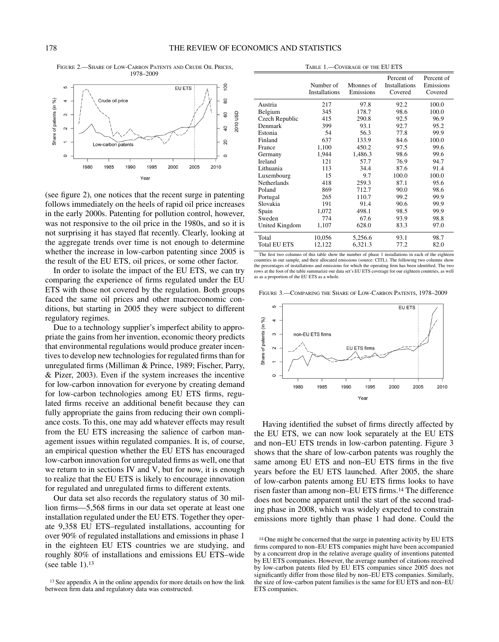Figure 2.—Share of Low-Carbon Patents and Crude Oil Prices,



(see figure 2), one notices that the recent surge in patenting follows immediately on the heels of rapid oil price increases in the early 2000s. Patenting for pollution control, however, was not responsive to the oil price in the 1980s, and so it is not surprising it has stayed flat recently. Clearly, looking at the aggregate trends over time is not enough to determine whether the increase in low-carbon patenting since 2005 is the result of the EU ETS, oil prices, or some other factor.

In order to isolate the impact of the EU ETS, we can try comparing the experience of firms regulated under the EU ETS with those not covered by the regulation. Both groups faced the same oil prices and other macroeconomic conditions, but starting in 2005 they were subject to different regulatory regimes.

Due to a technology supplier's imperfect ability to appropriate the gains from her invention, economic theory predicts that environmental regulations would produce greater incentives to develop new technologies for regulated firms than for unregulated firms (Milliman & Prince, 1989; Fischer, Parry, & Pizer, 2003). Even if the system increases the incentive for low-carbon innovation for everyone by creating demand for low-carbon technologies among EU ETS firms, regulated firms receive an additional benefit because they can fully appropriate the gains from reducing their own compliance costs. To this, one may add whatever effects may result from the EU ETS increasing the salience of carbon management issues within regulated companies. It is, of course, an empirical question whether the EU ETS has encouraged low-carbon innovation for unregulated firms as well, one that we return to in sections IV and V, but for now, it is enough to realize that the EU ETS is likely to encourage innovation for regulated and unregulated firms to different extents.

Our data set also records the regulatory status of 30 million firms—5,568 firms in our data set operate at least one installation regulated under the EU ETS. Together they operate 9,358 EU ETS–regulated installations, accounting for over 90% of regulated installations and emissions in phase 1 in the eighteen EU ETS countries we are studying, and roughly 80% of installations and emissions EU ETS–wide (see table  $1$ ).<sup>13</sup>

|                     | Number of<br><b>Installations</b> | Mtonnes of<br>Emissions | Percent of<br><b>Installations</b><br>Covered | Percent of<br>Emissions<br>Covered |
|---------------------|-----------------------------------|-------------------------|-----------------------------------------------|------------------------------------|
| Austria             | 217                               | 97.8                    | 92.2                                          | 100.0                              |
| Belgium             | 345                               | 178.7                   | 98.6                                          | 100.0                              |
| Czech Republic      | 415                               | 290.8                   | 92.5                                          | 96.9                               |
| Denmark             | 399                               | 93.1                    | 92.7                                          | 95.2                               |
| Estonia             | 54                                | 56.3                    | 77.8                                          | 99.9                               |
| Finland             | 637                               | 133.9                   | 84.6                                          | 100.0                              |
| France              | 1,100                             | 450.2                   | 97.5                                          | 99.6                               |
| Germany             | 1,944                             | 1,486.3                 | 98.6                                          | 99.6                               |
| Ireland             | 12.1                              | 57.7                    | 76.9                                          | 94.7                               |
| Lithuania           | 113                               | 34.4                    | 87.6                                          | 91.4                               |
| Luxembourg          | 15                                | 9.7                     | 100.0                                         | 100.0                              |
| <b>Netherlands</b>  | 418                               | 259.3                   | 87.1                                          | 95.6                               |
| Poland              | 869                               | 712.7                   | 90.0                                          | 98.6                               |
| Portugal            | 265                               | 110.7                   | 99.2                                          | 99.9                               |
| Slovakia            | 191                               | 91.4                    | 90.6                                          | 99.9                               |
| Spain               | 1,072                             | 498.1                   | 98.5                                          | 99.9                               |
| Sweden              | 774                               | 67.6                    | 93.9                                          | 98.8                               |
| United Kingdom      | 1,107                             | 628.0                   | 83.3                                          | 97.0                               |
| Total               | 10,056                            | 5,256.6                 | 93.1                                          | 98.7                               |
| <b>Total EU ETS</b> | 12,122                            | 6,321.3                 | 77.2                                          | 82.0                               |

The first two columns of this table show the number of phase 1 installations in each of the eighteen countries in our sample, and their allocated emissions (source: CITL). The following two columns show the percentages of installations and emissions for which the operating firm has been identified. The two rows at the foot of the table summarize our data set's EU ETS coverage for our eighteen countries, as well as as a proportion of the EU ETS as a whole.

Figure 3.—Comparing the Share of Low-Carbon Patents, 1978–2009



Having identified the subset of firms directly affected by the EU ETS, we can now look separately at the EU ETS and non–EU ETS trends in low-carbon patenting. Figure 3 shows that the share of low-carbon patents was roughly the same among EU ETS and non–EU ETS firms in the five years before the EU ETS launched. After 2005, the share of low-carbon patents among EU ETS firms looks to have risen faster than among non–EU ETS firms.14 The difference does not become apparent until the start of the second trading phase in 2008, which was widely expected to constrain emissions more tightly than phase 1 had done. Could the

Table 1.—Coverage of the EU ETS

<sup>&</sup>lt;sup>13</sup> See appendix A in the online appendix for more details on how the link between firm data and regulatory data was constructed.

<sup>14</sup> One might be concerned that the surge in patenting activity by EU ETS firms compared to non–EU ETS companies might have been accompanied by a concurrent drop in the relative average quality of inventions patented by EU ETS companies. However, the average number of citations received by low-carbon patents filed by EU ETS companies since 2005 does not significantly differ from those filed by non–EU ETS companies. Similarly, the size of low-carbon patent families is the same for EU ETS and non–EU ETS companies.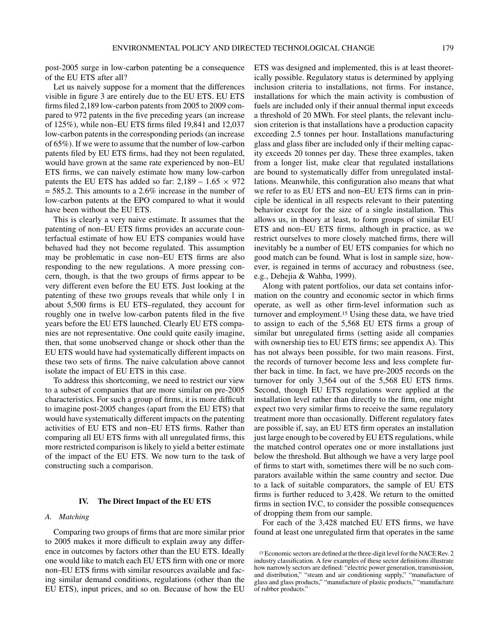post-2005 surge in low-carbon patenting be a consequence of the EU ETS after all?

Let us naively suppose for a moment that the differences visible in figure 3 are entirely due to the EU ETS. EU ETS firms filed 2,189 low-carbon patents from 2005 to 2009 compared to 972 patents in the five preceding years (an increase of 125%), while non–EU ETS firms filed 19,841 and 12,037 low-carbon patents in the corresponding periods (an increase of 65%). If we were to assume that the number of low-carbon patents filed by EU ETS firms, had they not been regulated, would have grown at the same rate experienced by non–EU ETS firms, we can naively estimate how many low-carbon patents the EU ETS has added so far:  $2,189 - 1.65 \times 972$  $= 585.2$ . This amounts to a 2.6% increase in the number of low-carbon patents at the EPO compared to what it would have been without the EU ETS.

This is clearly a very naive estimate. It assumes that the patenting of non–EU ETS firms provides an accurate counterfactual estimate of how EU ETS companies would have behaved had they not become regulated. This assumption may be problematic in case non–EU ETS firms are also responding to the new regulations. A more pressing concern, though, is that the two groups of firms appear to be very different even before the EU ETS. Just looking at the patenting of these two groups reveals that while only 1 in about 5,500 firms is EU ETS–regulated, they account for roughly one in twelve low-carbon patents filed in the five years before the EU ETS launched. Clearly EU ETS companies are not representative. One could quite easily imagine, then, that some unobserved change or shock other than the EU ETS would have had systematically different impacts on these two sets of firms. The naive calculation above cannot isolate the impact of EU ETS in this case.

To address this shortcoming, we need to restrict our view to a subset of companies that are more similar on pre-2005 characteristics. For such a group of firms, it is more difficult to imagine post-2005 changes (apart from the EU ETS) that would have systematically different impacts on the patenting activities of EU ETS and non–EU ETS firms. Rather than comparing all EU ETS firms with all unregulated firms, this more restricted comparison is likely to yield a better estimate of the impact of the EU ETS. We now turn to the task of constructing such a comparison.

#### **IV. The Direct Impact of the EU ETS**

#### *A. Matching*

Comparing two groups of firms that are more similar prior to 2005 makes it more difficult to explain away any difference in outcomes by factors other than the EU ETS. Ideally one would like to match each EU ETS firm with one or more non–EU ETS firms with similar resources available and facing similar demand conditions, regulations (other than the EU ETS), input prices, and so on. Because of how the EU

ETS was designed and implemented, this is at least theoretically possible. Regulatory status is determined by applying inclusion criteria to installations, not firms. For instance, installations for which the main activity is combustion of fuels are included only if their annual thermal input exceeds a threshold of 20 MWh. For steel plants, the relevant inclusion criterion is that installations have a production capacity exceeding 2.5 tonnes per hour. Installations manufacturing glass and glass fiber are included only if their melting capacity exceeds 20 tonnes per day. These three examples, taken from a longer list, make clear that regulated installations are bound to systematically differ from unregulated installations. Meanwhile, this configuration also means that what we refer to as EU ETS and non–EU ETS firms can in principle be identical in all respects relevant to their patenting behavior except for the size of a single installation. This allows us, in theory at least, to form groups of similar EU ETS and non–EU ETS firms, although in practice, as we restrict ourselves to more closely matched firms, there will inevitably be a number of EU ETS companies for which no good match can be found. What is lost in sample size, however, is regained in terms of accuracy and robustness (see, e.g., Dehejia & Wahba, 1999).

Along with patent portfolios, our data set contains information on the country and economic sector in which firms operate, as well as other firm-level information such as turnover and employment.15 Using these data, we have tried to assign to each of the 5,568 EU ETS firms a group of similar but unregulated firms (setting aside all companies with ownership ties to EU ETS firms; see appendix A). This has not always been possible, for two main reasons. First, the records of turnover become less and less complete further back in time. In fact, we have pre-2005 records on the turnover for only 3,564 out of the 5,568 EU ETS firms. Second, though EU ETS regulations were applied at the installation level rather than directly to the firm, one might expect two very similar firms to receive the same regulatory treatment more than occasionally. Different regulatory fates are possible if, say, an EU ETS firm operates an installation just large enough to be covered by EU ETS regulations, while the matched control operates one or more installations just below the threshold. But although we have a very large pool of firms to start with, sometimes there will be no such comparators available within the same country and sector. Due to a lack of suitable comparators, the sample of EU ETS firms is further reduced to 3,428. We return to the omitted firms in section IV.C, to consider the possible consequences of dropping them from our sample.

For each of the 3,428 matched EU ETS firms, we have found at least one unregulated firm that operates in the same

<sup>15</sup> Economic sectors are defined at the three-digit level for the NACE Rev. 2 industry classification. A few examples of these sector definitions illustrate how narrowly sectors are defined: "electric power generation, transmission, and distribution," "steam and air conditioning supply," "manufacture of glass and glass products," "manufacture of plastic products," "manufacture of rubber products."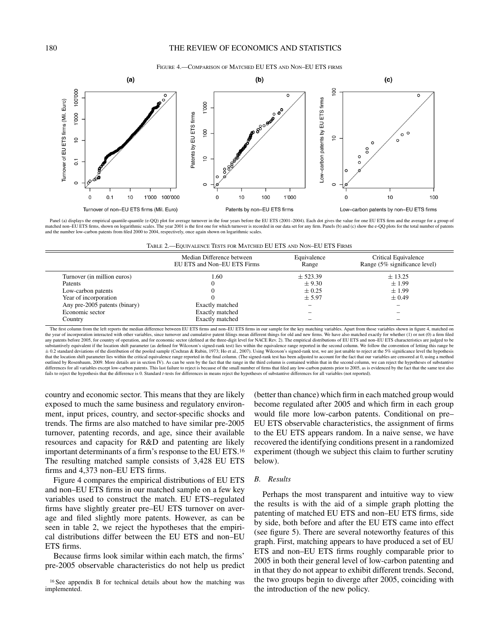#### 180 THE REVIEW OF ECONOMICS AND STATISTICS

Figure 4.—Comparison of Matched EU ETS and Non–EU ETS firms



Panel (a) displays the empirical quantile-quantile (e-QQ) plot for average turnover in the four years before the EU ETS (2001-2004). Each dot gives the value for one EU ETS firm and the average for a group of matched non–EU ETS firms, shown on logarithmic scales. The year 2001 is the first one for which turnover is recorded in our data set for any firm. Panels (b) and (c) show the e-QQ plots for the total number of patents and the number low-carbon patents from filed 2000 to 2004, respectively, once again shown on logarithmic scales.

|                               | Median Difference between<br>EU ETS and Non–EU ETS Firms | Equivalence<br>Range     | Critical Equivalence<br>Range (5% significance level) |
|-------------------------------|----------------------------------------------------------|--------------------------|-------------------------------------------------------|
| Turnover (in million euros)   | 1.60                                                     | ± 523.39                 | ± 13.25                                               |
| Patents                       |                                                          | $\pm$ 9.30               | $\pm 1.99$                                            |
| Low-carbon patents            |                                                          | $\pm$ 0.25               | $\pm 1.99$                                            |
| Year of incorporation         |                                                          | $\pm$ 5.97               | $\pm 0.49$                                            |
| Any pre-2005 patents (binary) | Exactly matched                                          |                          |                                                       |
| Economic sector               | Exactly matched                                          | $\overline{\phantom{a}}$ |                                                       |
| Country                       | Exactly matched                                          |                          |                                                       |

The first column from the left reports the median difference between EU ETS firms and non–EU ETS firms in our sample for the key matching variables. Apart from those variables shown in figure 4, matched on the year of incorporation interacted with other variables, since turnover and cumulative patent filings mean different things for old and new firms. We have also matched exactly for whether (1) or not (0) a firm filed<br>any substantively equivalent if the location shift parameter (as defined for Wilcoxon's signed-rank test) lies within the equivalence range reported in the second column. We follow the convention of letting this range be  $\pm$  0.2 standard deviations of the distribution of the pooled sample (Cochran & Rubin, 1973; Ho et al., 2007). Using Wilcoxon's signed-rank test, we are just unable to reject at the 5% significance level the hypothesis that the location shift parameter lies within the critical equivalence range reported in the final column. (The signed-rank test has been adjusted to account for the fact that our variables are censored at 0, using a method outlined by Rosenbaum, 2009. More details are in section IV). As can be seen by the fact that the range in the third column is contained within that in the second column, we can reject the hypotheses of substantive differences for all variables except low-carbon patents. This last failure to reject is because of the small number of firms that filed any low-carbon patents prior to 2005, as is evidenced by the fact that the same test a fails to reject the hypothesis that the difference is 0. Standard *t*-tests for differences in means reject the hypotheses of substantive differences for all variables (not reported).

country and economic sector. This means that they are likely exposed to much the same business and regulatory environment, input prices, country, and sector-specific shocks and trends. The firms are also matched to have similar pre-2005 turnover, patenting records, and age, since their available resources and capacity for R&D and patenting are likely important determinants of a firm's response to the EU ETS.16 The resulting matched sample consists of 3,428 EU ETS firms and 4,373 non–EU ETS firms.

Figure 4 compares the empirical distributions of EU ETS and non–EU ETS firms in our matched sample on a few key variables used to construct the match. EU ETS–regulated firms have slightly greater pre–EU ETS turnover on average and filed slightly more patents. However, as can be seen in table 2, we reject the hypotheses that the empirical distributions differ between the EU ETS and non–EU ETS firms.

Because firms look similar within each match, the firms' pre-2005 observable characteristics do not help us predict

(better than chance) which firm in each matched group would become regulated after 2005 and which firm in each group would file more low-carbon patents. Conditional on pre– EU ETS observable characteristics, the assignment of firms to the EU ETS appears random. In a naive sense, we have recovered the identifying conditions present in a randomized experiment (though we subject this claim to further scrutiny below).

#### *B. Results*

Perhaps the most transparent and intuitive way to view the results is with the aid of a simple graph plotting the patenting of matched EU ETS and non–EU ETS firms, side by side, both before and after the EU ETS came into effect (see figure 5). There are several noteworthy features of this graph. First, matching appears to have produced a set of EU ETS and non–EU ETS firms roughly comparable prior to 2005 in both their general level of low-carbon patenting and in that they do not appear to exhibit different trends. Second, the two groups begin to diverge after 2005, coinciding with the introduction of the new policy.

<sup>16</sup> See appendix B for technical details about how the matching was implemented.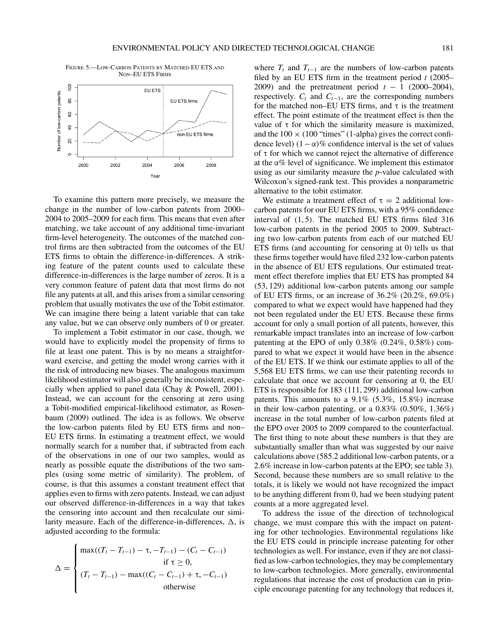

To examine this pattern more precisely, we measure the change in the number of low-carbon patents from 2000– 2004 to 2005–2009 for each firm. This means that even after matching, we take account of any additional time-invariant firm-level heterogeneity. The outcomes of the matched control firms are then subtracted from the outcomes of the EU ETS firms to obtain the difference-in-differences. A striking feature of the patent counts used to calculate these difference-in-differences is the large number of zeros. It is a very common feature of patent data that most firms do not file any patents at all, and this arises from a similar censoring problem that usually motivates the use of the Tobit estimator. We can imagine there being a latent variable that can take any value, but we can observe only numbers of 0 or greater.

To implement a Tobit estimator in our case, though, we would have to explicitly model the propensity of firms to file at least one patent. This is by no means a straightforward exercise, and getting the model wrong carries with it the risk of introducing new biases. The analogous maximum likelihood estimator will also generally be inconsistent, especially when applied to panel data (Chay & Powell, 2001). Instead, we can account for the censoring at zero using a Tobit-modified empirical-likelihood estimator, as Rosenbaum (2009) outlined. The idea is as follows. We observe the low-carbon patents filed by EU ETS firms and non– EU ETS firms. In estimating a treatment effect, we would normally search for a number that, if subtracted from each of the observations in one of our two samples, would as nearly as possible equate the distributions of the two samples (using some metric of similarity). The problem, of course, is that this assumes a constant treatment effect that applies even to firms with zero patents. Instead, we can adjust our observed difference-in-differences in a way that takes the censoring into account and then recalculate our similarity measure. Each of the difference-in-differences,  $\Delta$ , is adjusted according to the formula:

$$
\Delta = \begin{cases}\n\max((T_t - T_{t-1}) - \tau, -T_{t-1}) - (C_t - C_{t-1}) \\
\text{if } \tau \ge 0, \\
(T_t - T_{t-1}) - \max((C_t - C_{t-1}) + \tau, -C_{t-1}) \\
\text{otherwise}\n\end{cases}
$$

where  $T_t$  and  $T_{t-1}$  are the numbers of low-carbon patents filed by an EU ETS firm in the treatment period *t* (2005– 2009) and the pretreatment period *t* − 1 (2000–2004), respectively.  $C_t$  and  $C_{t-1}$ , are the corresponding numbers for the matched non–EU ETS firms, and  $\tau$  is the treatment effect. The point estimate of the treatment effect is then the value of  $\tau$  for which the similarity measure is maximized, and the  $100 \times (100$  "times" (1-alpha) gives the correct confidence level)  $(1-\alpha)$ % confidence interval is the set of values of τ for which we cannot reject the alternative of difference at the  $\alpha$ % level of significance. We implement this estimator using as our similarity measure the *p*-value calculated with Wilcoxon's signed-rank test. This provides a nonparametric alternative to the tobit estimator.

We estimate a treatment effect of  $\tau = 2$  additional lowcarbon patents for our EU ETS firms, with a 95% confidence interval of *(*1, 5*)*. The matched EU ETS firms filed 316 low-carbon patents in the period 2005 to 2009. Subtracting two low-carbon patents from each of our matched EU ETS firms (and accounting for censoring at 0) tells us that these firms together would have filed 232 low-carbon patents in the absence of EU ETS regulations. Our estimated treatment effect therefore implies that EU ETS has prompted 84 *(*53, 129*)* additional low-carbon patents among our sample of EU ETS firms, or an increase of 36.2% (20.2%, 69.0%) compared to what we expect would have happened had they not been regulated under the EU ETS. Because these firms account for only a small portion of all patents, however, this remarkable impact translates into an increase of low-carbon patenting at the EPO of only 0.38% (0.24%, 0.58%) compared to what we expect it would have been in the absence of the EU ETS. If we think our estimate applies to all of the 5,568 EU ETS firms, we can use their patenting records to calculate that once we account for censoring at 0, the EU ETS is responsible for 183 *(*111, 299*)* additional low-carbon patents. This amounts to a  $9.1\%$  (5.3%, 15.8%) increase in their low-carbon patenting, or a  $0.83\%$   $(0.50\%, 1.36\%)$ increase in the total number of low-carbon patents filed at the EPO over 2005 to 2009 compared to the counterfactual. The first thing to note about these numbers is that they are substantially smaller than what was suggested by our naive calculations above (585.2 additional low-carbon patents, or a 2.6% increase in low-carbon patents at the EPO; see table 3). Second, because these numbers are so small relative to the totals, it is likely we would not have recognized the impact to be anything different from 0, had we been studying patent counts at a more aggregated level.

To address the issue of the direction of technological change, we must compare this with the impact on patenting for other technologies. Environmental regulations like the EU ETS could in principle increase patenting for other technologies as well. For instance, even if they are not classified as low-carbon technologies, they may be complementary to low-carbon technologies. More generally, environmental regulations that increase the cost of production can in principle encourage patenting for any technology that reduces it,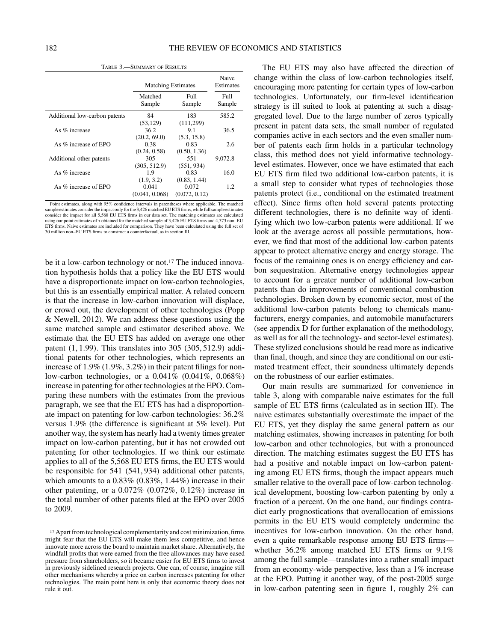|                               | <b>Matching Estimates</b> |                | Naive<br>Estimates |
|-------------------------------|---------------------------|----------------|--------------------|
|                               | Matched<br>Sample         | Full<br>Sample | Full<br>Sample     |
| Additional low-carbon patents | 84                        | 183            | 585.2              |
|                               | (53, 129)                 | (111, 299)     |                    |
| As % increase                 | 36.2                      | 9.1            | 36.5               |
|                               | (20.2, 69.0)              | (5.3, 15.8)    |                    |
| As $%$ increase of EPO        | 0.38                      | 0.83           | 2.6                |
|                               | (0.24, 0.58)              | (0.50, 1.36)   |                    |
| Additional other patents      | 305                       | 551            | 9.072.8            |
|                               | (305, 512.9)              | (551, 934)     |                    |
| As % increase                 | 1.9                       | 0.83           | 16.0               |
|                               | (1.9, 3.2)                | (0.83, 1.44)   |                    |
| As $%$ increase of EPO        | 0.041                     | 0.072          | 1.2                |
|                               | (0.041, 0.068)            | (0.072, 0.12)  |                    |

Point estimates, along with 95% confidence intervals in parentheses where applicable. The matched sample estimates consider the impact only for the 3,426 matched EU ETS firms, while full sample estimates consider the impact for all 5,568 EU ETS firms in our data set. The matching estimates are calculated using our point estimates of τ obtained for the matched sample of 3,426 EU ETS firms and 4,373 non–EU ETS firms. Naive estimates are included for comparison. They have been calculated using the full set of 30 million non–EU ETS firms to construct a counterfactual, as in section III.

be it a low-carbon technology or not.<sup>17</sup> The induced innovation hypothesis holds that a policy like the EU ETS would have a disproportionate impact on low-carbon technologies, but this is an essentially empirical matter. A related concern is that the increase in low-carbon innovation will displace, or crowd out, the development of other technologies (Popp & Newell, 2012). We can address these questions using the same matched sample and estimator described above. We estimate that the EU ETS has added on average one other patent *(*1, 1.99*)*. This translates into 305 *(*305, 512.9*)* additional patents for other technologies, which represents an increase of 1.9% (1.9%, 3.2%) in their patent filings for nonlow-carbon technologies, or a 0.041% (0.041%, 0.068%) increase in patenting for other technologies at the EPO. Comparing these numbers with the estimates from the previous paragraph, we see that the EU ETS has had a disproportionate impact on patenting for low-carbon technologies: 36.2% versus 1.9% (the difference is significant at 5% level). Put another way, the system has nearly had a twenty times greater impact on low-carbon patenting, but it has not crowded out patenting for other technologies. If we think our estimate applies to all of the 5,568 EU ETS firms, the EU ETS would be responsible for 541 *(*541, 934*)* additional other patents, which amounts to a  $0.83\%$  (0.83%, 1.44%) increase in their other patenting, or a  $0.072\%$   $(0.072\%, 0.12\%)$  increase in the total number of other patents filed at the EPO over 2005 to 2009.

The EU ETS may also have affected the direction of change within the class of low-carbon technologies itself, encouraging more patenting for certain types of low-carbon technologies. Unfortunately, our firm-level identification strategy is ill suited to look at patenting at such a disaggregated level. Due to the large number of zeros typically present in patent data sets, the small number of regulated companies active in each sectors and the even smaller number of patents each firm holds in a particular technology class, this method does not yield informative technologylevel estimates. However, once we have estimated that each EU ETS firm filed two additional low-carbon patents, it is a small step to consider what types of technologies those patents protect (i.e., conditional on the estimated treatment effect). Since firms often hold several patents protecting different technologies, there is no definite way of identifying which two low-carbon patents were additional. If we look at the average across all possible permutations, however, we find that most of the additional low-carbon patents appear to protect alternative energy and energy storage. The focus of the remaining ones is on energy efficiency and carbon sequestration. Alternative energy technologies appear to account for a greater number of additional low-carbon patents than do improvements of conventional combustion technologies. Broken down by economic sector, most of the additional low-carbon patents belong to chemicals manufacturers, energy companies, and automobile manufacturers (see appendix D for further explanation of the methodology, as well as for all the technology- and sector-level estimates). These stylized conclusions should be read more as indicative than final, though, and since they are conditional on our estimated treatment effect, their soundness ultimately depends on the robustness of our earlier estimates.

Our main results are summarized for convenience in table 3, along with comparable naive estimates for the full sample of EU ETS firms (calculated as in section III). The naive estimates substantially overestimate the impact of the EU ETS, yet they display the same general pattern as our matching estimates, showing increases in patenting for both low-carbon and other technologies, but with a pronounced direction. The matching estimates suggest the EU ETS has had a positive and notable impact on low-carbon patenting among EU ETS firms, though the impact appears much smaller relative to the overall pace of low-carbon technological development, boosting low-carbon patenting by only a fraction of a percent. On the one hand, our findings contradict early prognostications that overallocation of emissions permits in the EU ETS would completely undermine the incentives for low-carbon innovation. On the other hand, even a quite remarkable response among EU ETS firms whether 36.2% among matched EU ETS firms or 9.1% among the full sample—translates into a rather small impact from an economy-wide perspective, less than a 1% increase at the EPO. Putting it another way, of the post-2005 surge in low-carbon patenting seen in figure 1, roughly 2% can

<sup>17</sup> Apart from technological complementarity and cost minimization, firms might fear that the EU ETS will make them less competitive, and hence innovate more across the board to maintain market share. Alternatively, the windfall profits that were earned from the free allowances may have eased pressure from shareholders, so it became easier for EU ETS firms to invest in previously sidelined research projects. One can, of course, imagine still other mechanisms whereby a price on carbon increases patenting for other technologies. The main point here is only that economic theory does not rule it out.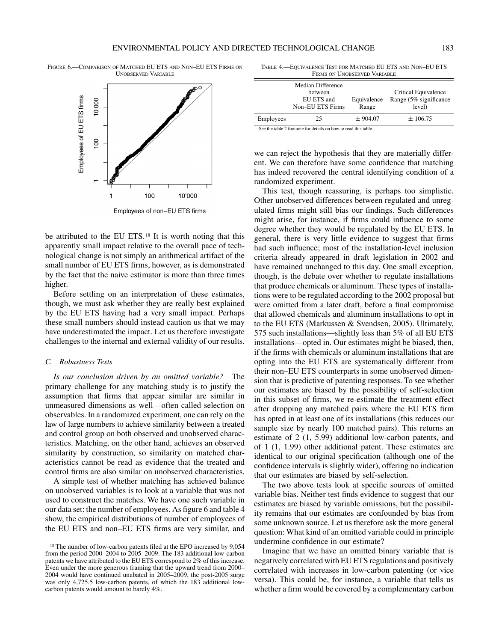Figure 6.—Comparison of Matched EU ETS and Non–EU ETS Firms on Unobserved Variable



Employees of non-EU ETS firms

be attributed to the EU ETS.18 It is worth noting that this apparently small impact relative to the overall pace of technological change is not simply an arithmetical artifact of the small number of EU ETS firms, however, as is demonstrated by the fact that the naive estimator is more than three times higher.

Before settling on an interpretation of these estimates, though, we must ask whether they are really best explained by the EU ETS having had a very small impact. Perhaps these small numbers should instead caution us that we may have underestimated the impact. Let us therefore investigate challenges to the internal and external validity of our results.

#### *C. Robustness Tests*

*Is our conclusion driven by an omitted variable?* The primary challenge for any matching study is to justify the assumption that firms that appear similar are similar in unmeasured dimensions as well—often called selection on observables. In a randomized experiment, one can rely on the law of large numbers to achieve similarity between a treated and control group on both observed and unobserved characteristics. Matching, on the other hand, achieves an observed similarity by construction, so similarity on matched characteristics cannot be read as evidence that the treated and control firms are also similar on unobserved characteristics.

A simple test of whether matching has achieved balance on unobserved variables is to look at a variable that was not used to construct the matches. We have one such variable in our data set: the number of employees. As figure 6 and table 4 show, the empirical distributions of number of employees of the EU ETS and non–EU ETS firms are very similar, and

Table 4.—Equivalence Test for Matched EU ETS and Non–EU ETS Firms on Unobserved Variable

| Range                                       | Median Difference<br>between<br>EU ETS and<br>Non-EU ETS Firms | Equivalence | Critical Equivalence<br>Range (5% significance<br>level) |  |
|---------------------------------------------|----------------------------------------------------------------|-------------|----------------------------------------------------------|--|
| ± 904.07<br>Employees<br>$\pm 106.75$<br>25 |                                                                |             |                                                          |  |

See the table 2 footnote for details on how to read this table.

we can reject the hypothesis that they are materially different. We can therefore have some confidence that matching has indeed recovered the central identifying condition of a randomized experiment.

This test, though reassuring, is perhaps too simplistic. Other unobserved differences between regulated and unregulated firms might still bias our findings. Such differences might arise, for instance, if firms could influence to some degree whether they would be regulated by the EU ETS. In general, there is very little evidence to suggest that firms had such influence; most of the installation-level inclusion criteria already appeared in draft legislation in 2002 and have remained unchanged to this day. One small exception, though, is the debate over whether to regulate installations that produce chemicals or aluminum. These types of installations were to be regulated according to the 2002 proposal but were omitted from a later draft, before a final compromise that allowed chemicals and aluminum installations to opt in to the EU ETS (Markussen & Svendsen, 2005). Ultimately, 575 such installations—slightly less than 5% of all EU ETS installations—opted in. Our estimates might be biased, then, if the firms with chemicals or aluminum installations that are opting into the EU ETS are systematically different from their non–EU ETS counterparts in some unobserved dimension that is predictive of patenting responses. To see whether our estimates are biased by the possibility of self-selection in this subset of firms, we re-estimate the treatment effect after dropping any matched pairs where the EU ETS firm has opted in at least one of its installations (this reduces our sample size by nearly 100 matched pairs). This returns an estimate of 2 (1, 5.99) additional low-carbon patents, and of 1 (1, 1.99) other additional patent. These estimates are identical to our original specification (although one of the confidence intervals is slightly wider), offering no indication that our estimates are biased by self-selection.

The two above tests look at specific sources of omitted variable bias. Neither test finds evidence to suggest that our estimates are biased by variable omissions, but the possibility remains that our estimates are confounded by bias from some unknown source. Let us therefore ask the more general question: What kind of an omitted variable could in principle undermine confidence in our estimate?

Imagine that we have an omitted binary variable that is negatively correlated with EU ETS regulations and positively correlated with increases in low-carbon patenting (or vice versa). This could be, for instance, a variable that tells us whether a firm would be covered by a complementary carbon

<sup>18</sup> The number of low-carbon patents filed at the EPO increased by 9,054 from the period 2000–2004 to 2005–2009. The 183 additional low-carbon patents we have attributed to the EU ETS correspond to 2% of this increase. Even under the more generous framing that the upward trend from 2000– 2004 would have continued unabated in 2005–2009, the post-2005 surge was only 4,725.5 low-carbon patents, of which the 183 additional lowcarbon patents would amount to barely 4%.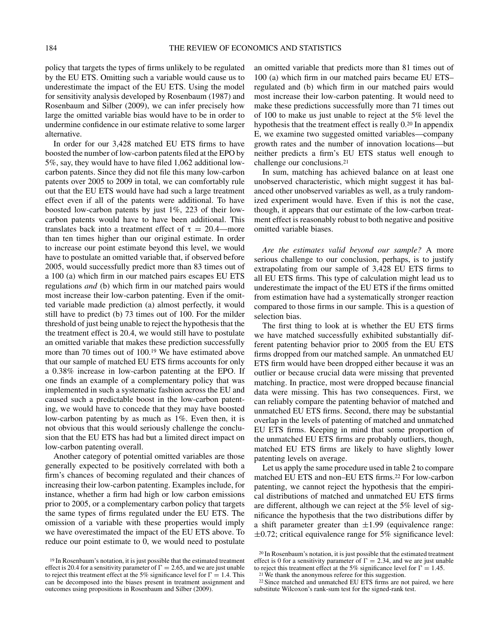policy that targets the types of firms unlikely to be regulated by the EU ETS. Omitting such a variable would cause us to underestimate the impact of the EU ETS. Using the model for sensitivity analysis developed by Rosenbaum (1987) and Rosenbaum and Silber (2009), we can infer precisely how large the omitted variable bias would have to be in order to undermine confidence in our estimate relative to some larger alternative.

In order for our 3,428 matched EU ETS firms to have boosted the number of low-carbon patents filed at the EPO by 5%, say, they would have to have filed 1,062 additional lowcarbon patents. Since they did not file this many low-carbon patents over 2005 to 2009 in total, we can comfortably rule out that the EU ETS would have had such a large treatment effect even if all of the patents were additional. To have boosted low-carbon patents by just 1%, 223 of their lowcarbon patents would have to have been additional. This translates back into a treatment effect of  $\tau = 20.4$ —more than ten times higher than our original estimate. In order to increase our point estimate beyond this level, we would have to postulate an omitted variable that, if observed before 2005, would successfully predict more than 83 times out of a 100 (a) which firm in our matched pairs escapes EU ETS regulations *and* (b) which firm in our matched pairs would most increase their low-carbon patenting. Even if the omitted variable made prediction (a) almost perfectly, it would still have to predict (b) 73 times out of 100. For the milder threshold of just being unable to reject the hypothesis that the the treatment effect is 20.4, we would still have to postulate an omitted variable that makes these prediction successfully more than 70 times out of 100.19 We have estimated above that our sample of matched EU ETS firms accounts for only a 0.38% increase in low-carbon patenting at the EPO. If one finds an example of a complementary policy that was implemented in such a systematic fashion across the EU and caused such a predictable boost in the low-carbon patenting, we would have to concede that they may have boosted low-carbon patenting by as much as 1%. Even then, it is not obvious that this would seriously challenge the conclusion that the EU ETS has had but a limited direct impact on low-carbon patenting overall.

Another category of potential omitted variables are those generally expected to be positively correlated with both a firm's chances of becoming regulated and their chances of increasing their low-carbon patenting. Examples include, for instance, whether a firm had high or low carbon emissions prior to 2005, or a complementary carbon policy that targets the same types of firms regulated under the EU ETS. The omission of a variable with these properties would imply we have overestimated the impact of the EU ETS above. To reduce our point estimate to 0, we would need to postulate

<sup>19</sup> In Rosenbaum's notation, it is just possible that the estimated treatment effect is 20.4 for a sensitivity parameter of  $\Gamma = 2.65$ , and we are just unable to reject this treatment effect at the 5% significance level for  $\Gamma = 1.4$ . This can be decomposed into the biases present in treatment assignment and outcomes using propositions in Rosenbaum and Silber (2009).

an omitted variable that predicts more than 81 times out of 100 (a) which firm in our matched pairs became EU ETS– regulated and (b) which firm in our matched pairs would most increase their low-carbon patenting. It would need to make these predictions successfully more than 71 times out of 100 to make us just unable to reject at the 5% level the hypothesis that the treatment effect is really 0.20 In appendix E, we examine two suggested omitted variables—company growth rates and the number of innovation locations—but neither predicts a firm's EU ETS status well enough to challenge our conclusions.21

In sum, matching has achieved balance on at least one unobserved characteristic, which might suggest it has balanced other unobserved variables as well, as a truly randomized experiment would have. Even if this is not the case, though, it appears that our estimate of the low-carbon treatment effect is reasonably robust to both negative and positive omitted variable biases.

*Are the estimates valid beyond our sample?* A more serious challenge to our conclusion, perhaps, is to justify extrapolating from our sample of 3,428 EU ETS firms to all EU ETS firms. This type of calculation might lead us to underestimate the impact of the EU ETS if the firms omitted from estimation have had a systematically stronger reaction compared to those firms in our sample. This is a question of selection bias.

The first thing to look at is whether the EU ETS firms we have matched successfully exhibited substantially different patenting behavior prior to 2005 from the EU ETS firms dropped from our matched sample. An unmatched EU ETS firm would have been dropped either because it was an outlier or because crucial data were missing that prevented matching. In practice, most were dropped because financial data were missing. This has two consequences. First, we can reliably compare the patenting behavior of matched and unmatched EU ETS firms. Second, there may be substantial overlap in the levels of patenting of matched and unmatched EU ETS firms. Keeping in mind that some proportion of the unmatched EU ETS firms are probably outliers, though, matched EU ETS firms are likely to have slightly lower patenting levels on average.

Let us apply the same procedure used in table 2 to compare matched EU ETS and non–EU ETS firms.22 For low-carbon patenting, we cannot reject the hypothesis that the empirical distributions of matched and unmatched EU ETS firms are different, although we can reject at the 5% level of significance the hypothesis that the two distributions differ by a shift parameter greater than  $\pm 1.99$  (equivalence range:  $\pm 0.72$ ; critical equivalence range for 5% significance level:

<sup>20</sup> In Rosenbaum's notation, it is just possible that the estimated treatment effect is 0 for a sensitivity parameter of  $\Gamma = 2.34$ , and we are just unable to reject this treatment effect at the 5% significance level for  $\Gamma = 1.45$ .<br><sup>21</sup> We thank the anonymous referee for this suggestion.

<sup>22</sup> Since matched and unmatched EU ETS firms are not paired, we here substitute Wilcoxon's rank-sum test for the signed-rank test.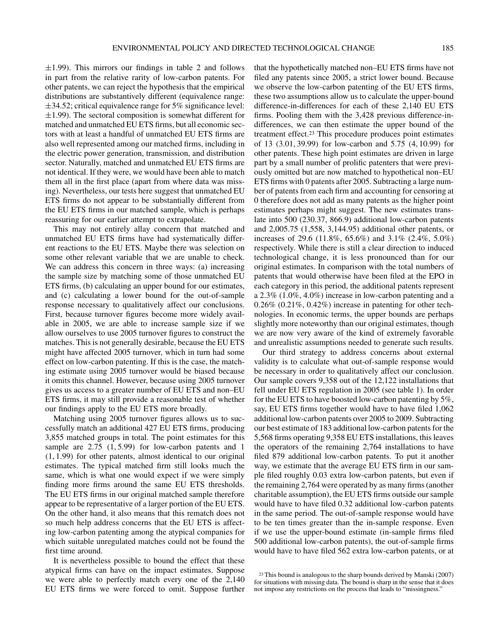$\pm$ 1.99). This mirrors our findings in table 2 and follows in part from the relative rarity of low-carbon patents. For other patents, we can reject the hypothesis that the empirical distributions are substantively different (equivalence range:  $\pm$ 34.52; critical equivalence range for 5% significance level:  $\pm$ 1.99). The sectoral composition is somewhat different for matched and unmatched EU ETS firms, but all economic sectors with at least a handful of unmatched EU ETS firms are also well represented among our matched firms, including in the electric power generation, transmission, and distribution sector. Naturally, matched and unmatched EU ETS firms are not identical. If they were, we would have been able to match them all in the first place (apart from where data was missing). Nevertheless, our tests here suggest that unmatched EU ETS firms do not appear to be substantially different from the EU ETS firms in our matched sample, which is perhaps reassuring for our earlier attempt to extrapolate.

This may not entirely allay concern that matched and unmatched EU ETS firms have had systematically different reactions to the EU ETS. Maybe there was selection on some other relevant variable that we are unable to check. We can address this concern in three ways: (a) increasing the sample size by matching some of those unmatched EU ETS firms, (b) calculating an upper bound for our estimates, and (c) calculating a lower bound for the out-of-sample response necessary to qualitatively affect our conclusions. First, because turnover figures become more widely available in 2005, we are able to increase sample size if we allow ourselves to use 2005 turnover figures to construct the matches. This is not generally desirable, because the EU ETS might have affected 2005 turnover, which in turn had some effect on low-carbon patenting. If this is the case, the matching estimate using 2005 turnover would be biased because it omits this channel. However, because using 2005 turnover gives us access to a greater number of EU ETS and non–EU ETS firms, it may still provide a reasonable test of whether our findings apply to the EU ETS more broadly.

Matching using 2005 turnover figures allows us to successfully match an additional 427 EU ETS firms, producing 3,855 matched groups in total. The point estimates for this sample are 2.75 *(*1, 5.99*)* for low-carbon patents and 1 *(*1, 1.99*)* for other patents, almost identical to our original estimates. The typical matched firm still looks much the same, which is what one would expect if we were simply finding more firms around the same EU ETS thresholds. The EU ETS firms in our original matched sample therefore appear to be representative of a larger portion of the EU ETS. On the other hand, it also means that this rematch does not so much help address concerns that the EU ETS is affecting low-carbon patenting among the atypical companies for which suitable unregulated matches could not be found the first time around.

It is nevertheless possible to bound the effect that these atypical firms can have on the impact estimates. Suppose we were able to perfectly match every one of the 2,140 EU ETS firms we were forced to omit. Suppose further

that the hypothetically matched non–EU ETS firms have not filed any patents since 2005, a strict lower bound. Because we observe the low-carbon patenting of the EU ETS firms, these two assumptions allow us to calculate the upper-bound difference-in-differences for each of these 2,140 EU ETS firms. Pooling them with the 3,428 previous difference-indifferences, we can then estimate the upper bound of the treatment effect.23 This procedure produces point estimates of 13 *(*3.01, 39.99*)* for low-carbon and 5.75 *(*4, 10.99*)* for other patents. These high point estimates are driven in large part by a small number of prolific patenters that were previously omitted but are now matched to hypothetical non–EU ETS firms with 0 patents after 2005. Subtracting a large number of patents from each firm and accounting for censoring at 0 therefore does not add as many patents as the higher point estimates perhaps might suggest. The new estimates translate into 500 (230.37, 866.9) additional low-carbon patents and 2,005.75 (1,558, 3,144.95) additional other patents, or increases of 29.6 (11.8%, 65.6%) and 3.1% (2.4%, 5.0%) respectively. While there is still a clear direction to induced technological change, it is less pronounced than for our original estimates. In comparison with the total numbers of patents that would otherwise have been filed at the EPO in each category in this period, the additional patents represent a 2.3% (1.0%, 4.0%) increase in low-carbon patenting and a  $0.26\%$   $(0.21\%, 0.42\%)$  increase in patenting for other technologies. In economic terms, the upper bounds are perhaps slightly more noteworthy than our original estimates, though we are now very aware of the kind of extremely favorable and unrealistic assumptions needed to generate such results.

Our third strategy to address concerns about external validity is to calculate what out-of-sample response would be necessary in order to qualitatively affect our conclusion. Our sample covers 9,358 out of the 12,122 installations that fell under EU ETS regulation in 2005 (see table 1). In order for the EU ETS to have boosted low-carbon patenting by 5%, say, EU ETS firms together would have to have filed 1,062 additional low-carbon patents over 2005 to 2009. Subtracting our best estimate of 183 additional low-carbon patents for the 5,568 firms operating 9,358 EU ETS installations, this leaves the operators of the remaining 2,764 installations to have filed 879 additional low-carbon patents. To put it another way, we estimate that the average EU ETS firm in our sample filed roughly 0.03 extra low-carbon patents, but even if the remaining 2,764 were operated by as many firms (another charitable assumption), the EU ETS firms outside our sample would have to have filed 0.32 additional low-carbon patents in the same period. The out-of-sample response would have to be ten times greater than the in-sample response. Even if we use the upper-bound estimate (in-sample firms filed 500 additional low-carbon patents), the out-of-sample firms would have to have filed 562 extra low-carbon patents, or at

<sup>23</sup> This bound is analogous to the sharp bounds derived by Manski (2007) for situations with missing data. The bound is sharp in the sense that it does not impose any restrictions on the process that leads to "missingness."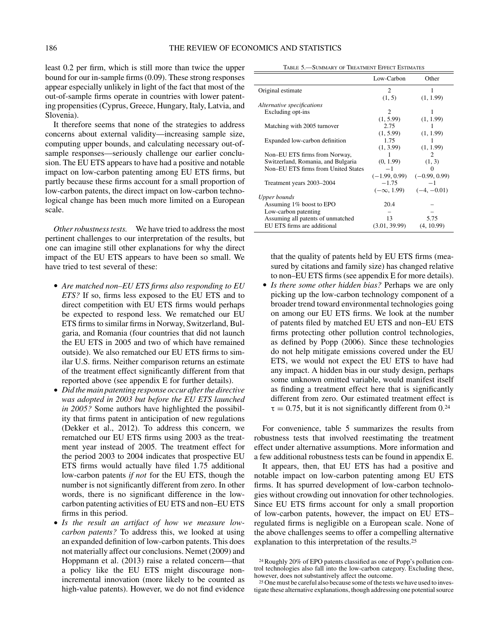least 0.2 per firm, which is still more than twice the upper bound for our in-sample firms (0.09). These strong responses appear especially unlikely in light of the fact that most of the out-of-sample firms operate in countries with lower patenting propensities (Cyprus, Greece, Hungary, Italy, Latvia, and Slovenia).

It therefore seems that none of the strategies to address concerns about external validity—increasing sample size, computing upper bounds, and calculating necessary out-ofsample responses—seriously challenge our earlier conclusion. The EU ETS appears to have had a positive and notable impact on low-carbon patenting among EU ETS firms, but partly because these firms account for a small proportion of low-carbon patents, the direct impact on low-carbon technological change has been much more limited on a European scale.

*Other robustness tests.* We have tried to address the most pertinent challenges to our interpretation of the results, but one can imagine still other explanations for why the direct impact of the EU ETS appears to have been so small. We have tried to test several of these:

- *Are matched non–EU ETS firms also responding to EU ETS?* If so, firms less exposed to the EU ETS and to direct competition with EU ETS firms would perhaps be expected to respond less. We rematched our EU ETS firms to similar firms in Norway, Switzerland, Bulgaria, and Romania (four countries that did not launch the EU ETS in 2005 and two of which have remained outside). We also rematched our EU ETS firms to similar U.S. firms. Neither comparison returns an estimate of the treatment effect significantly different from that reported above (see appendix E for further details).
- *Did the main patenting response occur after the directive was adopted in 2003 but before the EU ETS launched in 2005?* Some authors have highlighted the possibility that firms patent in anticipation of new regulations (Dekker et al., 2012). To address this concern, we rematched our EU ETS firms using 2003 as the treatment year instead of 2005. The treatment effect for the period 2003 to 2004 indicates that prospective EU ETS firms would actually have filed 1.75 additional low-carbon patents *if not* for the EU ETS, though the number is not significantly different from zero. In other words, there is no significant difference in the lowcarbon patenting activities of EU ETS and non–EU ETS firms in this period.
- *Is the result an artifact of how we measure lowcarbon patents?* To address this, we looked at using an expanded definition of low-carbon patents. This does not materially affect our conclusions. Nemet (2009) and Hoppmann et al. (2013) raise a related concern—that a policy like the EU ETS might discourage nonincremental innovation (more likely to be counted as high-value patents). However, we do not find evidence

Table 5.—Summary of Treatment Effect Estimates

|                                     | Low-Carbon        | Other                       |
|-------------------------------------|-------------------|-----------------------------|
| Original estimate                   | 2                 | 1                           |
|                                     | (1, 5)            | (1, 1.99)                   |
| Alternative specifications          |                   |                             |
| Excluding opt-ins                   | $\overline{c}$    | 1                           |
|                                     | (1, 5.99)         | (1, 1.99)                   |
| Matching with 2005 turnover         | 2.75              | 1                           |
|                                     | (1, 5.99)         | (1, 1.99)                   |
| Expanded low-carbon definition      | 1.75              | 1                           |
|                                     | (1, 3.99)         | (1, 1.99)                   |
| Non-EU ETS firms from Norway,       | 1                 | $\mathcal{D}_{\mathcal{L}}$ |
| Switzerland, Romania, and Bulgaria  | (0, 1.99)         | (1, 3)                      |
| Non-EU ETS firms from United States | $-1$              | 0                           |
|                                     | $(-1.99, 0.99)$   | $(-0.99, 0.99)$             |
| Treatment years 2003-2004           | $-1.75$           | $-1$                        |
|                                     | $(-\infty, 1.99)$ | $(-4, -0.01)$               |
| Upper bounds                        |                   |                             |
| Assuming 1% boost to EPO            | 20.4              |                             |
| Low-carbon patenting                |                   |                             |
| Assuming all patents of unmatched   | 13                | 5.75                        |
| EU ETS firms are additional         | (3.01, 39.99)     | (4, 10.99)                  |

that the quality of patents held by EU ETS firms (measured by citations and family size) has changed relative to non–EU ETS firms (see appendix E for more details).

• *Is there some other hidden bias?* Perhaps we are only picking up the low-carbon technology component of a broader trend toward environmental technologies going on among our EU ETS firms. We look at the number of patents filed by matched EU ETS and non–EU ETS firms protecting other pollution control technologies, as defined by Popp (2006). Since these technologies do not help mitigate emissions covered under the EU ETS, we would not expect the EU ETS to have had any impact. A hidden bias in our study design, perhaps some unknown omitted variable, would manifest itself as finding a treatment effect here that is significantly different from zero. Our estimated treatment effect is  $\tau = 0.75$ , but it is not significantly different from 0.24

For convenience, table 5 summarizes the results from robustness tests that involved reestimating the treatment effect under alternative assumptions. More information and a few additional robustness tests can be found in appendix E.

It appears, then, that EU ETS has had a positive and notable impact on low-carbon patenting among EU ETS firms. It has spurred development of low-carbon technologies without crowding out innovation for other technologies. Since EU ETS firms account for only a small proportion of low-carbon patents, however, the impact on EU ETS– regulated firms is negligible on a European scale. None of the above challenges seems to offer a compelling alternative explanation to this interpretation of the results.25

<sup>24</sup>Roughly 20% of EPO patents classified as one of Popp's pollution control technologies also fall into the low-carbon category. Excluding these, however, does not substantively affect the outcome.

<sup>25</sup> One must be careful also because some of the tests we have used to investigate these alternative explanations, though addressing one potential source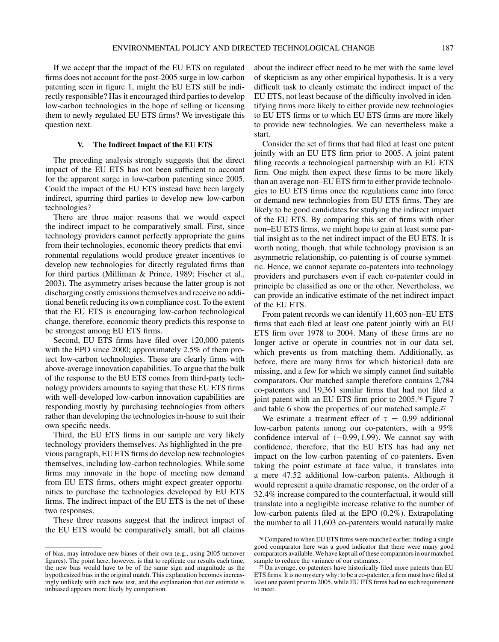If we accept that the impact of the EU ETS on regulated firms does not account for the post-2005 surge in low-carbon patenting seen in figure 1, might the EU ETS still be indirectly responsible? Has it encouraged third parties to develop low-carbon technologies in the hope of selling or licensing them to newly regulated EU ETS firms? We investigate this question next.

#### **V. The Indirect Impact of the EU ETS**

The preceding analysis strongly suggests that the direct impact of the EU ETS has not been sufficient to account for the apparent surge in low-carbon patenting since 2005. Could the impact of the EU ETS instead have been largely indirect, spurring third parties to develop new low-carbon technologies?

There are three major reasons that we would expect the indirect impact to be comparatively small. First, since technology providers cannot perfectly appropriate the gains from their technologies, economic theory predicts that environmental regulations would produce greater incentives to develop new technologies for directly regulated firms than for third parties (Milliman & Prince, 1989; Fischer et al., 2003). The asymmetry arises because the latter group is not discharging costly emissions themselves and receive no additional benefit reducing its own compliance cost. To the extent that the EU ETS is encouraging low-carbon technological change, therefore, economic theory predicts this response to be strongest among EU ETS firms.

Second, EU ETS firms have filed over 120,000 patents with the EPO since 2000; approximately 2.5% of them protect low-carbon technologies. These are clearly firms with above-average innovation capabilities. To argue that the bulk of the response to the EU ETS comes from third-party technology providers amounts to saying that these EU ETS firms with well-developed low-carbon innovation capabilities are responding mostly by purchasing technologies from others rather than developing the technologies in-house to suit their own specific needs.

Third, the EU ETS firms in our sample are very likely technology providers themselves. As highlighted in the previous paragraph, EU ETS firms do develop new technologies themselves, including low-carbon technologies. While some firms may innovate in the hope of meeting new demand from EU ETS firms, others might expect greater opportunities to purchase the technologies developed by EU ETS firms. The indirect impact of the EU ETS is the net of these two responses.

These three reasons suggest that the indirect impact of the EU ETS would be comparatively small, but all claims

about the indirect effect need to be met with the same level of skepticism as any other empirical hypothesis. It is a very difficult task to cleanly estimate the indirect impact of the EU ETS, not least because of the difficulty involved in identifying firms more likely to either provide new technologies to EU ETS firms or to which EU ETS firms are more likely to provide new technologies. We can nevertheless make a start.

Consider the set of firms that had filed at least one patent jointly with an EU ETS firm prior to 2005. A joint patent filing records a technological partnership with an EU ETS firm. One might then expect these firms to be more likely than an average non–EU ETS firm to either provide technologies to EU ETS firms once the regulations came into force or demand new technologies from EU ETS firms. They are likely to be good candidates for studying the indirect impact of the EU ETS. By comparing this set of firms with other non–EU ETS firms, we might hope to gain at least some partial insight as to the net indirect impact of the EU ETS. It is worth noting, though, that while technology provision is an asymmetric relationship, co-patenting is of course symmetric. Hence, we cannot separate co-patenters into technology providers and purchasers even if each co-patenter could in principle be classified as one or the other. Nevertheless, we can provide an indicative estimate of the net indirect impact of the EU ETS.

From patent records we can identify 11,603 non–EU ETS firms that each filed at least one patent jointly with an EU ETS firm over 1978 to 2004. Many of these firms are no longer active or operate in countries not in our data set, which prevents us from matching them. Additionally, as before, there are many firms for which historical data are missing, and a few for which we simply cannot find suitable comparators. Our matched sample therefore contains 2,784 co-patenters and 19,361 similar firms that had not filed a joint patent with an EU ETS firm prior to 2005.26 Figure 7 and table 6 show the properties of our matched sample.27

We estimate a treatment effect of  $\tau = 0.99$  additional low-carbon patents among our co-patenters, with a 95% confidence interval of *(*−0.99, 1.99*)*. We cannot say with confidence, therefore, that the EU ETS has had any net impact on the low-carbon patenting of co-patenters. Even taking the point estimate at face value, it translates into a mere 47.52 additional low-carbon patents. Although it would represent a quite dramatic response, on the order of a 32.4% increase compared to the counterfactual, it would still translate into a negligible increase relative to the number of low-carbon patents filed at the EPO (0.2%). Extrapolating the number to all 11,603 co-patenters would naturally make

of bias, may introduce new biases of their own (e.g., using 2005 turnover figures). The point here, however, is that to replicate our results each time, the new bias would have to be of the same sign and magnitude as the hypothesized bias in the original match. This explanation becomes increasingly unlikely with each new test, and the explanation that our estimate is unbiased appears more likely by comparison.

<sup>26</sup>Compared to when EU ETS firms were matched earlier, finding a single good comparator here was a good indicator that there were many good comparators available. We have kept all of these comparators in our matched sample to reduce the variance of our estimates.

<sup>&</sup>lt;sup>27</sup> On average, co-patenters have historically filed more patents than EU ETS firms. It is no mystery why: to be a co-patenter, a firm must have filed at least one patent prior to 2005, while EU ETS firms had no such requirement to meet.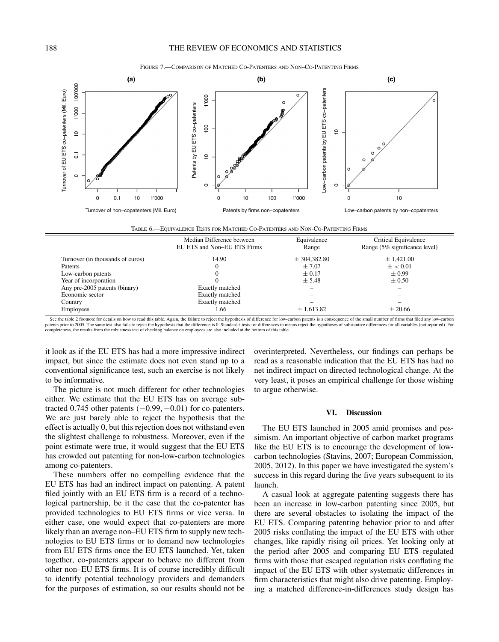#### 188 THE REVIEW OF ECONOMICS AND STATISTICS





Table 6.—Equivalence Tests for Matched Co-Patenters and Non-Co-Patenting Firms

|                                  | Median Difference between<br>EU ETS and Non-EU ETS Firms | Equivalence<br>Range | Critical Equivalence<br>Range (5% significance level) |
|----------------------------------|----------------------------------------------------------|----------------------|-------------------------------------------------------|
| Turnover (in thousands of euros) | 14.90                                                    | $\pm$ 304,382.80     | $\pm 1,421.00$                                        |
| Patents                          |                                                          | $\pm 7.07$           | $\pm$ < 0.01                                          |
| Low-carbon patents               |                                                          | $\pm 0.17$           | $\pm 0.99$                                            |
| Year of incorporation            |                                                          | ± 5.48               | $\pm 0.50$                                            |
| Any pre-2005 patents (binary)    | Exactly matched                                          |                      |                                                       |
| Economic sector                  | Exactly matched                                          |                      |                                                       |
| Country                          | Exactly matched                                          |                      |                                                       |
| Employees                        | l.66                                                     | $\pm 1,613.82$       | ± 20.66                                               |

See the table 2 footnote for details on how to read this table. Again, the failure to reject the hypothesis of difference for low-carbon patents is a consequence of the small number of firms that filed any low-carbon patents prior to 2005. The same test also fails to reject the hypothesis that the difference is 0. Standard t-tests for differences in means reject the hypotheses of substantive differences for all variables (not reported) completeness, the results from the robustness test of checking balance on employees are also included at the bottom of this table.

it look as if the EU ETS has had a more impressive indirect impact, but since the estimate does not even stand up to a conventional significance test, such an exercise is not likely to be informative.

The picture is not much different for other technologies either. We estimate that the EU ETS has on average subtracted 0.745 other patents *(*−0.99, −0.01*)* for co-patenters. We are just barely able to reject the hypothesis that the effect is actually 0, but this rejection does not withstand even the slightest challenge to robustness. Moreover, even if the point estimate were true, it would suggest that the EU ETS has crowded out patenting for non-low-carbon technologies among co-patenters.

These numbers offer no compelling evidence that the EU ETS has had an indirect impact on patenting. A patent filed jointly with an EU ETS firm is a record of a technological partnership, be it the case that the co-patenter has provided technologies to EU ETS firms or vice versa. In either case, one would expect that co-patenters are more likely than an average non–EU ETS firm to supply new technologies to EU ETS firms or to demand new technologies from EU ETS firms once the EU ETS launched. Yet, taken together, co-patenters appear to behave no different from other non–EU ETS firms. It is of course incredibly difficult to identify potential technology providers and demanders for the purposes of estimation, so our results should not be

overinterpreted. Nevertheless, our findings can perhaps be read as a reasonable indication that the EU ETS has had no net indirect impact on directed technological change. At the very least, it poses an empirical challenge for those wishing to argue otherwise.

#### **VI. Discussion**

The EU ETS launched in 2005 amid promises and pessimism. An important objective of carbon market programs like the EU ETS is to encourage the development of lowcarbon technologies (Stavins, 2007; European Commission, 2005, 2012). In this paper we have investigated the system's success in this regard during the five years subsequent to its launch.

A casual look at aggregate patenting suggests there has been an increase in low-carbon patenting since 2005, but there are several obstacles to isolating the impact of the EU ETS. Comparing patenting behavior prior to and after 2005 risks conflating the impact of the EU ETS with other changes, like rapidly rising oil prices. Yet looking only at the period after 2005 and comparing EU ETS–regulated firms with those that escaped regulation risks conflating the impact of the EU ETS with other systematic differences in firm characteristics that might also drive patenting. Employing a matched difference-in-differences study design has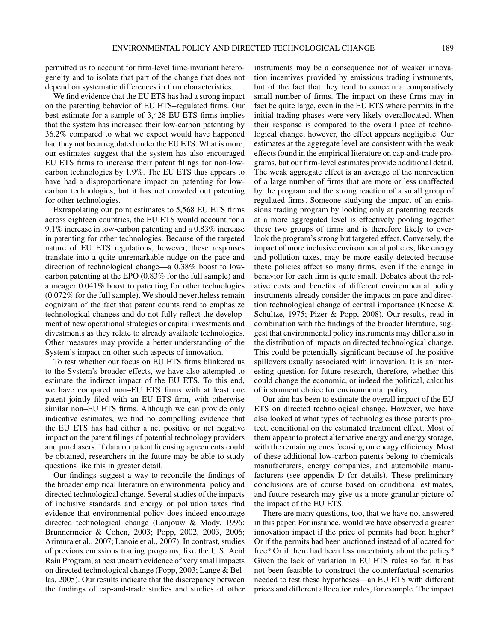permitted us to account for firm-level time-invariant heterogeneity and to isolate that part of the change that does not depend on systematic differences in firm characteristics.

We find evidence that the EU ETS has had a strong impact on the patenting behavior of EU ETS–regulated firms. Our best estimate for a sample of 3,428 EU ETS firms implies that the system has increased their low-carbon patenting by 36.2% compared to what we expect would have happened had they not been regulated under the EU ETS. What is more, our estimates suggest that the system has also encouraged EU ETS firms to increase their patent filings for non-lowcarbon technologies by 1.9%. The EU ETS thus appears to have had a disproportionate impact on patenting for lowcarbon technologies, but it has not crowded out patenting for other technologies.

Extrapolating our point estimates to 5,568 EU ETS firms across eighteen countries, the EU ETS would account for a 9.1% increase in low-carbon patenting and a 0.83% increase in patenting for other technologies. Because of the targeted nature of EU ETS regulations, however, these responses translate into a quite unremarkable nudge on the pace and direction of technological change—a 0.38% boost to lowcarbon patenting at the EPO (0.83% for the full sample) and a meager 0.041% boost to patenting for other technologies (0.072% for the full sample). We should nevertheless remain cognizant of the fact that patent counts tend to emphasize technological changes and do not fully reflect the development of new operational strategies or capital investments and divestments as they relate to already available technologies. Other measures may provide a better understanding of the System's impact on other such aspects of innovation.

To test whether our focus on EU ETS firms blinkered us to the System's broader effects, we have also attempted to estimate the indirect impact of the EU ETS. To this end, we have compared non–EU ETS firms with at least one patent jointly filed with an EU ETS firm, with otherwise similar non–EU ETS firms. Although we can provide only indicative estimates, we find no compelling evidence that the EU ETS has had either a net positive or net negative impact on the patent filings of potential technology providers and purchasers. If data on patent licensing agreements could be obtained, researchers in the future may be able to study questions like this in greater detail.

Our findings suggest a way to reconcile the findings of the broader empirical literature on environmental policy and directed technological change. Several studies of the impacts of inclusive standards and energy or pollution taxes find evidence that environmental policy does indeed encourage directed technological change (Lanjouw & Mody, 1996; Brunnermeier & Cohen, 2003; Popp, 2002, 2003, 2006; Arimura et al., 2007; Lanoie et al., 2007). In contrast, studies of previous emissions trading programs, like the U.S. Acid Rain Program, at best unearth evidence of very small impacts on directed technological change (Popp, 2003; Lange & Bellas, 2005). Our results indicate that the discrepancy between the findings of cap-and-trade studies and studies of other

instruments may be a consequence not of weaker innovation incentives provided by emissions trading instruments, but of the fact that they tend to concern a comparatively small number of firms. The impact on these firms may in fact be quite large, even in the EU ETS where permits in the initial trading phases were very likely overallocated. When their response is compared to the overall pace of technological change, however, the effect appears negligible. Our estimates at the aggregate level are consistent with the weak effects found in the empirical literature on cap-and-trade programs, but our firm-level estimates provide additional detail. The weak aggregate effect is an average of the nonreaction of a large number of firms that are more or less unaffected by the program and the strong reaction of a small group of regulated firms. Someone studying the impact of an emissions trading program by looking only at patenting records at a more aggregated level is effectively pooling together these two groups of firms and is therefore likely to overlook the program's strong but targeted effect. Conversely, the impact of more inclusive environmental policies, like energy and pollution taxes, may be more easily detected because these policies affect so many firms, even if the change in behavior for each firm is quite small. Debates about the relative costs and benefits of different environmental policy instruments already consider the impacts on pace and direction technological change of central importance (Kneese & Schultze, 1975; Pizer & Popp, 2008). Our results, read in combination with the findings of the broader literature, suggest that environmental policy instruments may differ also in the distribution of impacts on directed technological change. This could be potentially significant because of the positive spillovers usually associated with innovation. It is an interesting question for future research, therefore, whether this could change the economic, or indeed the political, calculus of instrument choice for environmental policy.

Our aim has been to estimate the overall impact of the EU ETS on directed technological change. However, we have also looked at what types of technologies those patents protect, conditional on the estimated treatment effect. Most of them appear to protect alternative energy and energy storage, with the remaining ones focusing on energy efficiency. Most of these additional low-carbon patents belong to chemicals manufacturers, energy companies, and automobile manufacturers (see appendix D for details). These preliminary conclusions are of course based on conditional estimates, and future research may give us a more granular picture of the impact of the EU ETS.

There are many questions, too, that we have not answered in this paper. For instance, would we have observed a greater innovation impact if the price of permits had been higher? Or if the permits had been auctioned instead of allocated for free? Or if there had been less uncertainty about the policy? Given the lack of variation in EU ETS rules so far, it has not been feasible to construct the counterfactual scenarios needed to test these hypotheses—an EU ETS with different prices and different allocation rules, for example. The impact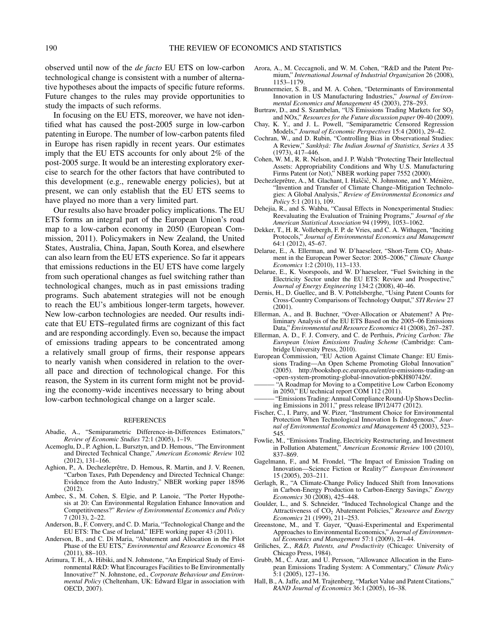observed until now of the *de facto* EU ETS on low-carbon technological change is consistent with a number of alternative hypotheses about the impacts of specific future reforms. Future changes to the rules may provide opportunities to study the impacts of such reforms.

In focusing on the EU ETS, moreover, we have not identified what has caused the post-2005 surge in low-carbon patenting in Europe. The number of low-carbon patents filed in Europe has risen rapidly in recent years. Our estimates imply that the EU ETS accounts for only about 2% of the post-2005 surge. It would be an interesting exploratory exercise to search for the other factors that have contributed to this development (e.g., renewable energy policies), but at present, we can only establish that the EU ETS seems to have played no more than a very limited part.

Our results also have broader policy implications. The EU ETS forms an integral part of the European Union's road map to a low-carbon economy in 2050 (European Commission, 2011). Policymakers in New Zealand, the United States, Australia, China, Japan, South Korea, and elsewhere can also learn from the EU ETS experience. So far it appears that emissions reductions in the EU ETS have come largely from such operational changes as fuel switching rather than technological changes, much as in past emissions trading programs. Such abatement strategies will not be enough to reach the EU's ambitious longer-term targets, however. New low-carbon technologies are needed. Our results indicate that EU ETS–regulated firms are cognizant of this fact and are responding accordingly. Even so, because the impact of emissions trading appears to be concentrated among a relatively small group of firms, their response appears to nearly vanish when considered in relation to the overall pace and direction of technological change. For this reason, the System in its current form might not be providing the economy-wide incentives necessary to bring about low-carbon technological change on a larger scale.

#### REFERENCES

- Abadie, A., "Semiparametric Difference-in-Differences Estimators," *Review of Economic Studies* 72:1 (2005), 1–19.
- Acemoglu, D., P. Aghion, L. Bursztyn, and D. Hemous, "The Environment and Directed Technical Change," *American Economic Review* 102 (2012), 131–166.
- Aghion, P., A. Dechezleprêtre, D. Hemous, R. Martin, and J. V. Reenen, "Carbon Taxes, Path Dependency and Directed Technical Change: Evidence from the Auto Industry," NBER working paper 18596 (2012).
- Ambec, S., M. Cohen, S. Elgie, and P. Lanoie, "The Porter Hypothesis at 20: Can Environmental Regulation Enhance Innovation and Competitiveness?" *Review of Environmental Economics and Policy* 7 (2013), 2–22.
- Anderson, B., F. Convery, and C. D. Maria, "Technological Change and the EU ETS: The Case of Ireland," IEFE working paper 43 (2011).
- Anderson, B., and C. Di Maria, "Abatement and Allocation in the Pilot Phase of the EU ETS," *Environmental and Resource Economics* 48 (2011), 88–103.
- Arimura, T. H., A. Hibiki, and N. Johnstone, "An Empirical Study of Environmental R&D: What Encourages Facilities to Be Environmentally Innovative?" N. Johnstone, ed., *Corporate Behaviour and Environmental Policy* (Cheltenham, UK: Edward Elgar in association with OECD, 2007).
- Arora, A., M. Ceccagnoli, and W. M. Cohen, "R&D and the Patent Premium," *International Journal of Industrial Organization* 26 (2008), 1153–1179.
- Brunnermeier, S. B., and M. A. Cohen, "Determinants of Environmental Innovation in US Manufacturing Industries," *Journal of Environmental Economics and Management* 45 (2003), 278–293.
- Burtraw, D., and S. Szambelan, "US Emissions Trading Markets for SO<sub>2</sub> and NOx," *Resources for the Future discussion paper* 09-40 (2009).
- Chay, K. Y., and J. L. Powell, "Semiparametric Censored Regression Models," *Journal of Economic Perspectives* 15:4 (2001), 29–42.
- Cochran, W., and D. Rubin, "Controlling Bias in Observational Studies: A Review," *Sankhya: The Indian Journal of Statistics, Series A ¯* 35 (1973), 417–446.
- Cohen, W. M., R. R. Nelson, and J. P. Walsh "Protecting Their Intellectual Assets: Appropriability Conditions and Why U.S. Manufacturing Firms Patent (or Not)," NBER working paper 7552 (2000).
- Dechezleprêtre, A., M. Glachant, I. Haščič, N. Johnstone, and Y. Ménière, "Invention and Transfer of Climate Change–Mitigation Technologies: A Global Analysis," *Review of Environmental Economics and Policy* 5:1 (2011), 109.
- Dehejia, R., and S. Wahba, "Causal Effects in Nonexperimental Studies: Reevaluating the Evaluation of Training Programs," *Journal of the American Statistical Association* 94 (1999), 1053–1062.
- Dekker, T., H. R. Vollebergh, F. P. de Vries, and C. A. Withagen, "Inciting Protocols," *Journal of Environmental Economics and Management* 64:1 (2012), 45–67.
- Delarue, E., A. Ellerman, and W. D'haeseleer, "Short-Term CO<sub>2</sub> Abatement in the European Power Sector: 2005–2006," *Climate Change Economics* 1:2 (2010), 113–133.
- Delarue, E., K. Voorspools, and W. D'haeseleer, "Fuel Switching in the Electricity Sector under the EU ETS: Review and Prospective," *Journal of Energy Engineering* 134:2 (2008), 40–46.
- Dernis, H., D. Guellec, and B. V. Pottelsberghe, "Using Patent Counts for Cross-Country Comparisons of Technology Output," *STI Review* 27 (2001).
- Ellerman, A., and B. Buchner, "Over-Allocation or Abatement? A Preliminary Analysis of the EU ETS Based on the 2005–06 Emissions Data," *Environmental and Resource Economics* 41 (2008), 267–287.
- Ellerman, A. D., F. J. Convery, and C. de Perthuis, *Pricing Carbon: The European Union Emissions Trading Scheme* (Cambridge: Cambridge University Press, 2010).
- European Commission, "EU Action Against Climate Change: EU Emissions Trading—An Open Scheme Promoting Global Innovation" (2005). http://bookshop.ec.europa.eu/ent/eu-emissions-trading-an -open-system-promoting-global-innovation-pbKH807426/.
- "A Roadmap for Moving to a Competitive Low Carbon Economy in 2050," EU technical report COM 112 (2011).
- "Emissions Trading: Annual Compliance Round-Up Shows Declining Emissions in 2011," press release IP/12/477 (2012).
- Fischer, C., I. Parry, and W. Pizer, "Instrument Choice for Environmental Protection When Technological Innovation Is Endogenous," *Journal of Environmental Economics and Management* 45 (2003), 523– 545.
- Fowlie, M., "Emissions Trading, Electricity Restructuring, and Investment in Pollution Abatement," *American Economic Review* 100 (2010), 837–869.
- Gagelmann, F., and M. Frondel, "The Impact of Emission Trading on Innovation—Science Fiction or Reality?" *European Environment* 15 (2005), 203–211.
- Gerlagh, R., "A Climate-Change Policy Induced Shift from Innovations in Carbon-Energy Production to Carbon-Energy Savings," *Energy Economics* 30 (2008), 425–448.
- Goulder, L., and S. Schneider, "Induced Technological Change and the Attractiveness of CO2 Abatement Policies," *Resource and Energy Economics* 21 (1999), 211–253.
- Greenstone, M., and T. Gayer, "Quasi-Experimental and Experimental Approaches to Environmental Economics," *Journal of Environmental Economics and Management* 57:1 (2009), 21–44.
- Griliches, Z., *R&D, Patents, and Productivity* (Chicago: University of Chicago Press, 1984).
- Grubb, M., C. Azar, and U. Persson, "Allowance Allocation in the European Emissions Trading System: A Commentary," *Climate Policy* 5:1 (2005), 127–136.
- Hall, B., A. Jaffe, and M. Trajtenberg, "Market Value and Patent Citations," *RAND Journal of Economics* 36:1 (2005), 16–38.